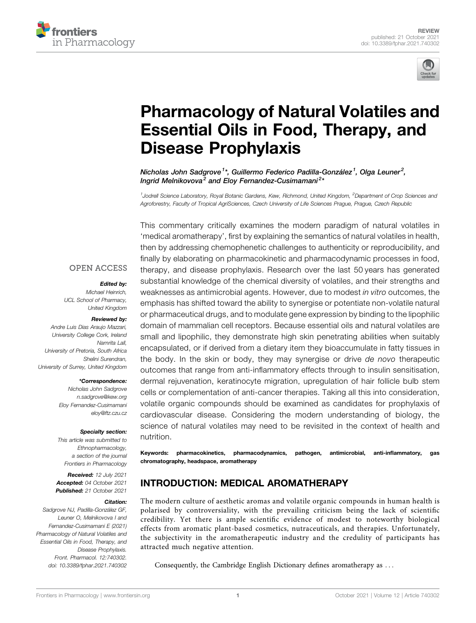



# [Pharmacology of Natural Volatiles and](https://www.frontiersin.org/articles/10.3389/fphar.2021.740302/full) [Essential Oils in Food, Therapy, and](https://www.frontiersin.org/articles/10.3389/fphar.2021.740302/full) [Disease Prophylaxis](https://www.frontiersin.org/articles/10.3389/fphar.2021.740302/full)

Nicholas John Sadgrove<sup>1</sup>\*, Guillermo Federico Padilla-González<sup>1</sup>, Olga Leuner<sup>2</sup>, Ingrid Melnikovova<sup>2</sup> and Eloy Fernandez-Cusimamani<sup>2</sup>\*

<sup>1</sup>Jodrell Science Laboratory, Royal Botanic Gardens, Kew, Richmond, United Kingdom, <sup>2</sup>Department of Crop Sciences and Agroforestry, Faculty of Tropical AgriSciences, Czech University of Life Sciences Prague, Prague, Czech Republic

This commentary critically examines the modern paradigm of natural volatiles in 'medical aromatherapy', first by explaining the semantics of natural volatiles in health, then by addressing chemophenetic challenges to authenticity or reproducibility, and finally by elaborating on pharmacokinetic and pharmacodynamic processes in food, therapy, and disease prophylaxis. Research over the last 50 years has generated substantial knowledge of the chemical diversity of volatiles, and their strengths and weaknesses as antimicrobial agents. However, due to modest in vitro outcomes, the emphasis has shifted toward the ability to synergise or potentiate non-volatile natural or pharmaceutical drugs, and to modulate gene expression by binding to the lipophilic domain of mammalian cell receptors. Because essential oils and natural volatiles are small and lipophilic, they demonstrate high skin penetrating abilities when suitably encapsulated, or if derived from a dietary item they bioaccumulate in fatty tissues in the body. In the skin or body, they may synergise or drive de novo therapeutic outcomes that range from anti-inflammatory effects through to insulin sensitisation, dermal rejuvenation, keratinocyte migration, upregulation of hair follicle bulb stem cells or complementation of anti-cancer therapies. Taking all this into consideration, volatile organic compounds should be examined as candidates for prophylaxis of cardiovascular disease. Considering the modern understanding of biology, the science of natural volatiles may need to be revisited in the context of health and nutrition.

**OPEN ACCESS** 

#### Edited by:

Michael Heinrich, UCL School of Pharmacy, United Kingdom

#### Reviewed by:

Andre Luis Dias Araujo Mazzari, University College Cork, Ireland Namrita Lall, University of Pretoria, South Africa Shelini Surendran, University of Surrey, United Kingdom

#### \*Correspondence:

Nicholas John Sadgrove [n.sadgrove@kew.org](mailto:n.sadgrove@kew.org) Eloy Fernandez-Cusimamani [eloy@ftz.czu.cz](mailto:eloy@ftz.czu.cz)

#### Specialty section:

This article was submitted to Ethnopharmacology, a section of the journal Frontiers in Pharmacology

Received: 12 July 2021 Accepted: 04 October 2021 Published: 21 October 2021

#### Citation:

Sadgrove NJ, Padilla-González GF, Leuner O, Melnikovova I and Fernandez-Cusimamani E (2021) Pharmacology of Natural Volatiles and Essential Oils in Food, Therapy, and Disease Prophylaxis. Front. Pharmacol. 12:740302. doi: [10.3389/fphar.2021.740302](https://doi.org/10.3389/fphar.2021.740302)

Keywords: pharmacokinetics, pharmacodynamics, pathogen, antimicrobial, anti-inflammatory, gas chromatography, headspace, aromatherapy

# INTRODUCTION: MEDICAL AROMATHERAPY

The modern culture of aesthetic aromas and volatile organic compounds in human health is polarised by controversiality, with the prevailing criticism being the lack of scientific credibility. Yet there is ample scientific evidence of modest to noteworthy biological effects from aromatic plant-based cosmetics, nutraceuticals, and therapies. Unfortunately, the subjectivity in the aromatherapeutic industry and the credulity of participants has attracted much negative attention.

Consequently, the Cambridge English Dictionary defines aromatherapy as ...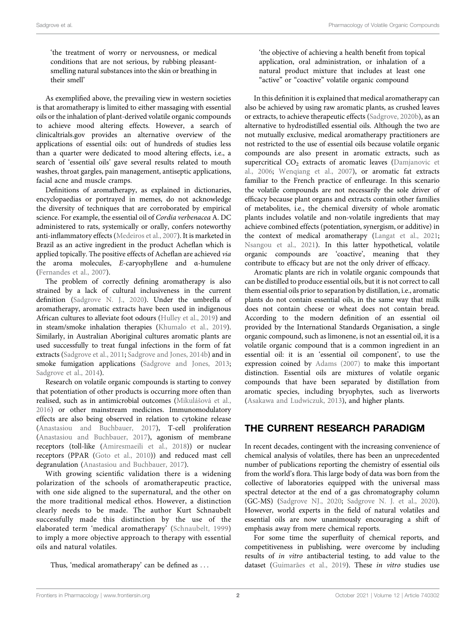'the treatment of worry or nervousness, or medical conditions that are not serious, by rubbing pleasantsmelling natural substances into the skin or breathing in their smell'

As exemplified above, the prevailing view in western societies is that aromatherapy is limited to either massaging with essential oils or the inhalation of plant-derived volatile organic compounds to achieve mood altering effects. However, a search of [clinicaltrials.gov](http://clinicaltrials.gov) provides an alternative overview of the applications of essential oils: out of hundreds of studies less than a quarter were dedicated to mood altering effects, i.e., a search of 'essential oils' gave several results related to mouth washes, throat gargles, pain management, antiseptic applications, facial acne and muscle cramps.

Definitions of aromatherapy, as explained in dictionaries, encyclopaedias or portrayed in memes, do not acknowledge the diversity of techniques that are corroborated by empirical science. For example, the essential oil of Cordia verbenacea A. DC administered to rats, systemically or orally, confers noteworthy anti-inflammatory effects [\(Medeiros et al., 2007\)](#page-13-0). It is marketed in Brazil as an active ingredient in the product Acheflan which is applied topically. The positive effects of Acheflan are achieved via the aroma molecules, E-caryophyllene and α-humulene ([Fernandes et al., 2007\)](#page-12-0).

The problem of correctly defining aromatherapy is also strained by a lack of cultural inclusiveness in the current definition ([Sadgrove N. J., 2020](#page-14-0)). Under the umbrella of aromatherapy, aromatic extracts have been used in indigenous African cultures to alleviate foot odours [\(Hulley et al., 2019](#page-12-1)) and in steam/smoke inhalation therapies [\(Khumalo et al., 2019\)](#page-13-1). Similarly, in Australian Aboriginal cultures aromatic plants are used successfully to treat fungal infections in the form of fat extracts ([Sadgrove et al., 2011;](#page-14-1) [Sadgrove and Jones, 2014b\)](#page-14-2) and in smoke fumigation applications [\(Sadgrove and Jones, 2013](#page-14-3); [Sadgrove et al., 2014\)](#page-14-4).

Research on volatile organic compounds is starting to convey that potentiation of other products is occurring more often than realised, such as in antimicrobial outcomes (Mikuláš[ová et al.,](#page-13-2) [2016](#page-13-2)) or other mainstream medicines. Immunomodulatory effects are also being observed in relation to cytokine release ([Anastasiou and Buchbauer, 2017\)](#page-11-0), T-cell proliferation ([Anastasiou and Buchbauer, 2017\)](#page-11-0), agonism of membrane receptors (toll-like [\(Amiresmaeili et al., 2018\)](#page-11-1)) or nuclear receptors (PPAR [\(Goto et al., 2010](#page-12-2))) and reduced mast cell degranulation [\(Anastasiou and Buchbauer, 2017\)](#page-11-0).

With growing scientific validation there is a widening polarization of the schools of aromatherapeutic practice, with one side aligned to the supernatural, and the other on the more traditional medical ethos. However, a distinction clearly needs to be made. The author Kurt Schnaubelt successfully made this distinction by the use of the elaborated term 'medical aromatherapy' ([Schnaubelt, 1999\)](#page-14-5) to imply a more objective approach to therapy with essential oils and natural volatiles.

Thus, 'medical aromatherapy' can be defined as ...

'the objective of achieving a health benefit from topical application, oral administration, or inhalation of a natural product mixture that includes at least one "active" or "coactive" volatile organic compound

In this definition it is explained that medical aromatherapy can also be achieved by using raw aromatic plants, as crushed leaves or extracts, to achieve therapeutic effects [\(Sadgrove, 2020b\)](#page-14-0), as an alternative to hydrodistilled essential oils. Although the two are not mutually exclusive, medical aromatherapy practitioners are not restricted to the use of essential oils because volatile organic compounds are also present in aromatic extracts, such as supercritical CO<sub>2</sub> extracts of aromatic leaves ([Damjanovic et](#page-12-3) [al., 2006;](#page-12-3) [Wenqiang et al., 2007\)](#page-15-0), or aromatic fat extracts familiar to the French practice of enfleurage. In this scenario the volatile compounds are not necessarily the sole driver of efficacy because plant organs and extracts contain other families of metabolites, i.e., the chemical diversity of whole aromatic plants includes volatile and non-volatile ingredients that may achieve combined effects (potentiation, synergism, or additive) in the context of medical aromatherapy ([Langat et al., 2021;](#page-13-3) [Nsangou et al., 2021\)](#page-13-4). In this latter hypothetical, volatile organic compounds are 'coactive', meaning that they contribute to efficacy but are not the only driver of efficacy.

Aromatic plants are rich in volatile organic compounds that can be distilled to produce essential oils, but it is not correct to call them essential oils prior to separation by distillation, i.e., aromatic plants do not contain essential oils, in the same way that milk does not contain cheese or wheat does not contain bread. According to the modern definition of an essential oil provided by the International Standards Organisation, a single organic compound, such as limonene, is not an essential oil, it is a volatile organic compound that is a common ingredient in an essential oil: it is an 'essential oil component', to use the expression coined by [Adams \(2007\)](#page-11-2) to make this important distinction. Essential oils are mixtures of volatile organic compounds that have been separated by distillation from aromatic species, including bryophytes, such as liverworts [\(Asakawa and Ludwiczuk, 2013\)](#page-11-3), and higher plants.

# THE CURRENT RESEARCH PARADIGM

In recent decades, contingent with the increasing convenience of chemical analysis of volatiles, there has been an unprecedented number of publications reporting the chemistry of essential oils from the world's flora. This large body of data was born from the collective of laboratories equipped with the universal mass spectral detector at the end of a gas chromatography column (GC-MS) [\(Sadgrove NJ., 2020](#page-14-6); [Sadgrove N. J. et al., 2020\)](#page-14-7). However, world experts in the field of natural volatiles and essential oils are now unanimously encouraging a shift of emphasis away from mere chemical reports.

For some time the superfluity of chemical reports, and competitiveness in publishing, were overcome by including results of in vitro antibacterial testing, to add value to the dataset ([Guimarães et al., 2019](#page-12-4)). These in vitro studies use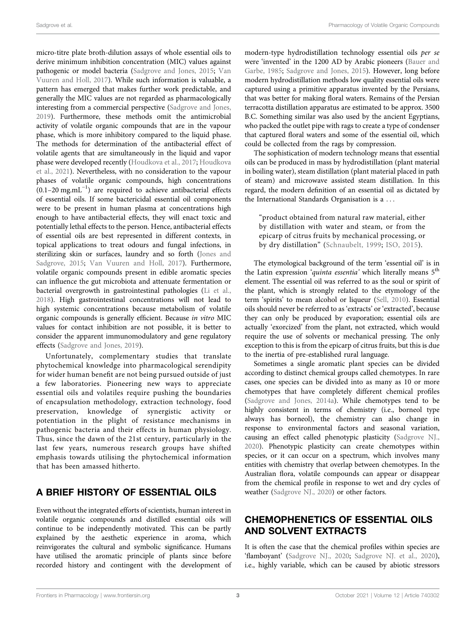micro-titre plate broth-dilution assays of whole essential oils to derive minimum inhibition concentration (MIC) values against pathogenic or model bacteria ([Sadgrove and Jones, 2015](#page-14-8); [Van](#page-15-1) [Vuuren and Holl, 2017](#page-15-1)). While such information is valuable, a pattern has emerged that makes further work predictable, and generally the MIC values are not regarded as pharmacologically interesting from a commercial perspective [\(Sadgrove and Jones,](#page-14-9) [2019](#page-14-9)). Furthermore, these methods omit the antimicrobial activity of volatile organic compounds that are in the vapour phase, which is more inhibitory compared to the liquid phase. The methods for determination of the antibacterial effect of volatile agents that are simultaneously in the liquid and vapor phase were developed recently [\(Houdkova et al., 2017](#page-12-5); [Houdkova](#page-12-6) [et al., 2021](#page-12-6)). Nevertheless, with no consideration to the vapour phases of volatile organic compounds, high concentrations (0.1–20 mg.mL−<sup>1</sup> ) are required to achieve antibacterial effects of essential oils. If some bactericidal essential oil components were to be present in human plasma at concentrations high enough to have antibacterial effects, they will enact toxic and potentially lethal effects to the person. Hence, antibacterial effects of essential oils are best represented in different contexts, in topical applications to treat odours and fungal infections, in sterilizing skin or surfaces, laundry and so forth ([Jones and](#page-13-5) [Sadgrove, 2015;](#page-13-5) [Van Vuuren and Holl, 2017](#page-15-1)). Furthermore, volatile organic compounds present in edible aromatic species can influence the gut microbiota and attenuate fermentation or bacterial overgrowth in gastrointestinal pathologies [\(Li et al.,](#page-13-6) [2018](#page-13-6)). High gastrointestinal concentrations will not lead to high systemic concentrations because metabolism of volatile organic compounds is generally efficient. Because in vitro MIC values for contact inhibition are not possible, it is better to consider the apparent immunomodulatory and gene regulatory effects [\(Sadgrove and Jones, 2019\)](#page-14-9).

Unfortunately, complementary studies that translate phytochemical knowledge into pharmacological serendipity for wider human benefit are not being pursued outside of just a few laboratories. Pioneering new ways to appreciate essential oils and volatiles require pushing the boundaries of encapsulation methodology, extraction technology, food preservation, knowledge of synergistic activity or potentiation in the plight of resistance mechanisms in pathogenic bacteria and their effects in human physiology. Thus, since the dawn of the 21st century, particularly in the last few years, numerous research groups have shifted emphasis towards utilising the phytochemical information that has been amassed hitherto.

# A BRIEF HISTORY OF ESSENTIAL OILS

Even without the integrated efforts of scientists, human interest in volatile organic compounds and distilled essential oils will continue to be independently motivated. This can be partly explained by the aesthetic experience in aroma, which reinvigorates the cultural and symbolic significance. Humans have utilised the aromatic principle of plants since before recorded history and contingent with the development of

modern-type hydrodistillation technology essential oils per se were 'invented' in the 1200 AD by Arabic pioneers ([Bauer and](#page-11-4) [Garbe, 1985;](#page-11-4) [Sadgrove and Jones, 2015\)](#page-14-8). However, long before modern hydrodistillation methods low quality essential oils were captured using a primitive apparatus invented by the Persians, that was better for making floral waters. Remains of the Persian terracotta distillation apparatus are estimated to be approx. 3500 B.C. Something similar was also used by the ancient Egyptians, who packed the outlet pipe with rags to create a type of condenser that captured floral waters and some of the essential oil, which could be collected from the rags by compression.

The sophistication of modern technology means that essential oils can be produced in mass by hydrodistillation (plant material in boiling water), steam distillation (plant material placed in path of steam) and microwave assisted steam distillation. In this regard, the modern definition of an essential oil as dictated by the International Standards Organisation is a ...

"product obtained from natural raw material, either by distillation with water and steam, or from the epicarp of citrus fruits by mechanical processing, or by dry distillation" ([Schnaubelt, 1999](#page-14-5); [ISO, 2015\)](#page-12-7).

The etymological background of the term 'essential oil' is in the Latin expression 'quinta essentia' which literally means 5<sup>th</sup> element. The essential oil was referred to as the soul or spirit of the plant, which is strongly related to the etymology of the term 'spirits' to mean alcohol or liqueur ([Sell, 2010\)](#page-14-10). Essential oils should never be referred to as 'extracts' or 'extracted', because they can only be produced by evaporation; essential oils are actually 'exorcized' from the plant, not extracted, which would require the use of solvents or mechanical pressing. The only exception to this is from the epicarp of citrus fruits, but this is due to the inertia of pre-established rural language.

Sometimes a single aromatic plant species can be divided according to distinct chemical groups called chemotypes. In rare cases, one species can be divided into as many as 10 or more chemotypes that have completely different chemical profiles [\(Sadgrove and Jones, 2014a\)](#page-14-11). While chemotypes tend to be highly consistent in terms of chemistry (i.e., borneol type always has borneol), the chemistry can also change in response to environmental factors and seasonal variation, causing an effect called phenotypic plasticity [\(Sadgrove NJ.,](#page-14-6) [2020](#page-14-6)). Phenotypic plasticity can create chemotypes within species, or it can occur on a spectrum, which involves many entities with chemistry that overlap between chemotypes. In the Australian flora, volatile compounds can appear or disappear from the chemical profile in response to wet and dry cycles of weather [\(Sadgrove NJ., 2020](#page-14-6)) or other factors.

# CHEMOPHENETICS OF ESSENTIAL OILS AND SOLVENT EXTRACTS

It is often the case that the chemical profiles within species are 'flamboyant' ([Sadgrove NJ., 2020](#page-14-6); [Sadgrove NJ. et al., 2020\)](#page-14-12), i.e., highly variable, which can be caused by abiotic stressors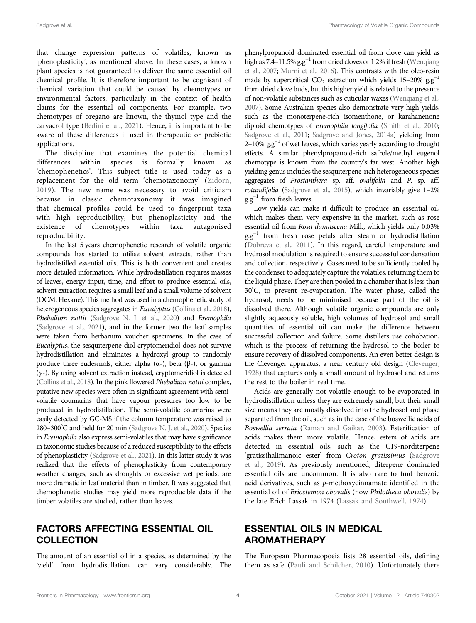that change expression patterns of volatiles, known as 'phenoplasticity', as mentioned above. In these cases, a known plant species is not guaranteed to deliver the same essential oil chemical profile. It is therefore important to be cognisant of chemical variation that could be caused by chemotypes or environmental factors, particularly in the context of health claims for the essential oil components. For example, two chemotypes of oregano are known, the thymol type and the carvacrol type [\(Bedini et al., 2021](#page-11-5)). Hence, it is important to be aware of these differences if used in therapeutic or prebiotic applications.

The discipline that examines the potential chemical differences within species is formally known as 'chemophenetics'. This subject title is used today as a replacement for the old term 'chemotaxonomy' [\(Zidorn,](#page-15-2) [2019](#page-15-2)). The new name was necessary to avoid criticism because in classic chemotaxonomy it was imagined that chemical profiles could be used to fingerprint taxa with high reproducibility, but phenoplasticity and the existence of chemotypes within taxa antagonised reproducibility.

In the last 5 years chemophenetic research of volatile organic compounds has started to utilise solvent extracts, rather than hydrodistilled essential oils. This is both convenient and creates more detailed information. While hydrodistillation requires masses of leaves, energy input, time, and effort to produce essential oils, solvent extraction requires a small leaf and a small volume of solvent (DCM, Hexane). This method was used in a chemophenetic study of heterogeneous species aggregates in Eucalyptus [\(Collins et al., 2018](#page-12-8)), Phebalium nottii [\(Sadgrove N. J. et al., 2020](#page-14-7)) and Eremophila [\(Sadgrove et al., 2021\)](#page-14-13), and in the former two the leaf samples were taken from herbarium voucher specimens. In the case of Eucalyptus, the sesquiterpene diol cryptomeridiol does not survive hydrodistillation and eliminates a hydroxyl group to randomly produce three eudesmols, either alpha  $(α-)$ , beta  $(β-)$ , or gamma  $(y<sub>-</sub>)$ . By using solvent extraction instead, cryptomeridiol is detected [\(Collins et al., 2018](#page-12-8)). In the pink flowered Phebalium nottii complex, putative new species were often in significant agreement with semivolatile coumarins that have vapour pressures too low to be produced in hydrodistillation. The semi-volatile coumarins were easily detected by GC-MS if the column temperature was raised to 280–300° C and held for 20 min [\(Sadgrove N. J. et al., 2020\)](#page-14-7). Species in Eremophila also express semi-volatiles that may have significance in taxonomic studies because of a reduced susceptibility to the effects of phenoplasticity ([Sadgrove et al., 2021](#page-14-13)). In this latter study it was realized that the effects of phenoplasticity from contemporary weather changes, such as droughts or excessive wet periods, are more dramatic in leaf material than in timber. It was suggested that chemophenetic studies may yield more reproducible data if the timber volatiles are studied, rather than leaves.

## FACTORS AFFECTING ESSENTIAL OIL COLLECTION

The amount of an essential oil in a species, as determined by the 'yield' from hydrodistillation, can vary considerably. The

phenylpropanoid dominated essential oil from clove can yield as high as 7.4–11.5%  $g.g<sup>-1</sup>$  from dried cloves or 1.2% if fresh [\(Wenqiang](#page-15-0) [et al., 2007](#page-15-0); [Murni et al., 2016\)](#page-13-7). This contrasts with the oleo-resin made by supercritical CO<sub>2</sub> extraction which yields 15–20%  $g.g^{-1}$ from dried clove buds, but this higher yield is related to the presence of non-volatile substances such as cuticular waxes [\(Wenqiang et al.,](#page-15-0) [2007](#page-15-0)). Some Australian species also demonstrate very high yields, such as the monoterpene-rich isomenthone, or karahanenone diploid chemotypes of Eremophila longifolia [\(Smith et al., 2010;](#page-14-14) [Sadgrove et al., 2011;](#page-14-1) [Sadgrove and Jones, 2014a](#page-14-11)) yielding from 2–10%  $\text{g.g}^{-1}$  of wet leaves, which varies yearly according to drought effects. A similar phenylpropanoid-rich safrole/methyl eugenol chemotype is known from the country's far west. Another high yielding genus includes the sesquiterpene-rich heterogeneous species aggregates of Prostanthera sp. aff. ovalifolia and P. sp. aff. rotundifolia ([Sadgrove et al., 2015](#page-14-15)), which invariably give 1–2%  $g.g^{-1}$  from fresh leaves.

Low yields can make it difficult to produce an essential oil, which makes them very expensive in the market, such as rose essential oil from Rosa damascena Mill., which yields only 0.03%  $gg^{-1}$  from fresh rose petals after steam or hydrodistillation [\(Dobreva et al., 2011](#page-12-9)). In this regard, careful temperature and hydrosol modulation is required to ensure successful condensation and collection, respectively. Gases need to be sufficiently cooled by the condenser to adequately capture the volatiles, returning them to the liquid phase. They are then pooled in a chamber that is less than 30°C, to prevent re-evaporation. The water phase, called the hydrosol, needs to be minimised because part of the oil is dissolved there. Although volatile organic compounds are only slightly aqueously soluble, high volumes of hydrosol and small quantities of essential oil can make the difference between successful collection and failure. Some distillers use cohobation, which is the process of returning the hydrosol to the boiler to ensure recovery of dissolved components. An even better design is the Clevenger apparatus, a near century old design [\(Clevenger,](#page-12-10) [1928\)](#page-12-10) that captures only a small amount of hydrosol and returns the rest to the boiler in real time.

Acids are generally not volatile enough to be evaporated in hydrodistillation unless they are extremely small, but their small size means they are mostly dissolved into the hydrosol and phase separated from the oil, such as in the case of the boswellic acids of Boswellia serrata ([Raman and Gaikar, 2003\)](#page-14-16). Esterification of acids makes them more volatile. Hence, esters of acids are detected in essential oils, such as the C19-norditerpene 'gratissihalimanoic ester' from Croton gratissimus ([Sadgrove](#page-14-17) [et al., 2019\)](#page-14-17). As previously mentioned, diterpene dominated essential oils are uncommon. It is also rare to find benzoic acid derivatives, such as p-methoxycinnamate identified in the essential oil of Eriostemon obovalis (now Philotheca obovalis) by the late Erich Lassak in 1974 [\(Lassak and Southwell, 1974\)](#page-13-8).

## ESSENTIAL OILS IN MEDICAL AROMATHERAPY

The European Pharmacopoeia lists 28 essential oils, defining them as safe [\(Pauli and Schilcher, 2010\)](#page-14-18). Unfortunately there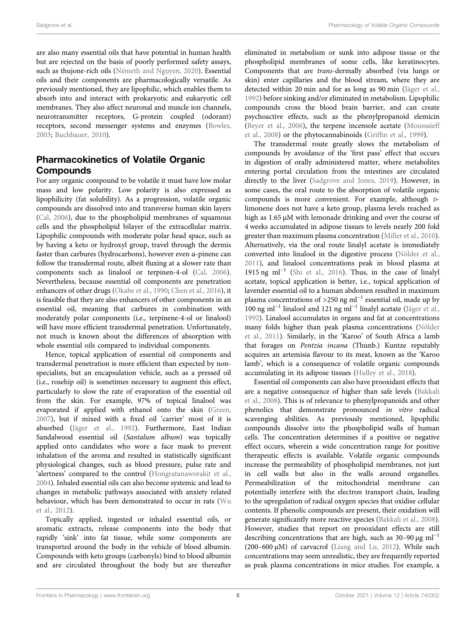are also many essential oils that have potential in human health but are rejected on the basis of poorly performed safety assays, such as thujone-rich oils ([Németh and Nguyen, 2020\)](#page-15-3). Essential oils and their components are pharmacologically versatile. As previously mentioned, they are lipophilic, which enables them to absorb into and interact with prokaryotic and eukaryotic cell membranes. They also affect neuronal and muscle ion channels, neurotransmitter receptors, G-protein coupled (odorant) receptors, second messenger systems and enzymes ([Bowles,](#page-11-6) [2003](#page-11-6); [Buchbauer, 2010\)](#page-11-7).

## Pharmacokinetics of Volatile Organic **Compounds**

For any organic compound to be volatile it must have low molar mass and low polarity. Low polarity is also expressed as lipophilicity (fat solubility). As a progression, volatile organic compounds are dissolved into and transverse human skin layers ([Cal, 2006](#page-11-8)), due to the phospholipid membranes of squamous cells and the phospholipid bilayer of the extracellular matrix. Lipophilic compounds with moderate polar head space, such as by having a keto or hydroxyl group, travel through the dermis faster than carbures (hydrocarbons), however even α-pinene can follow the transdermal route, albeit fluxing at a slower rate than components such as linalool or terpinen-4-ol ([Cal, 2006\)](#page-11-8). Nevertheless, because essential oil components are penetration enhancers of other drugs ([Okabe et al., 1990](#page-13-9); [Chen et al., 2016](#page-11-9)), it is feasible that they are also enhancers of other components in an essential oil, meaning that carbures in combination with moderately polar components (i.e., terpinene-4-ol or linalool) will have more efficient transdermal penetration. Unfortunately, not much is known about the differences of absorption with whole essential oils compared to individual components.

Hence, topical application of essential oil components and transdermal penetration is more efficient than expected by nonspecialists, but an encapsulation vehicle, such as a pressed oil (i.e., rosehip oil) is sometimes necessary to augment this effect, particularly to slow the rate of evaporation of the essential oil from the skin. For example, 97% of topical linalool was evaporated if applied with ethanol onto the skin ([Green,](#page-11-10) [2007](#page-11-10)), but if mixed with a fixed oil 'carrier' most of it is absorbed ([Jäger et al., 1992\)](#page-12-11). Furthermore, East Indian Sandalwood essential oil (Santalum album) was topically applied onto candidates who wore a face mask to prevent inhalation of the aroma and resulted in statistically significant physiological changes, such as blood pressure, pulse rate and 'alertness' compared to the control ([Hongratanaworakit et al.,](#page-12-12) [2004](#page-12-12)). Inhaled essential oils can also become systemic and lead to changes in metabolic pathways associated with anxiety related behaviour, which has been demonstrated to occur in rats [\(Wu](#page-15-4) [et al., 2012](#page-15-4)).

Topically applied, ingested or inhaled essential oils, or aromatic extracts, release components into the body that rapidly 'sink' into fat tissue, while some components are transported around the body in the vehicle of blood albumin. Compounds with keto groups (carbonyls) bind to blood albumin and are circulated throughout the body but are thereafter

eliminated in metabolism or sunk into adipose tissue or the phospholipid membranes of some cells, like keratinocytes. Components that are trans-dermally absorbed (via lungs or skin) enter capillaries and the blood stream, where they are detected within 20 min and for as long as 90 min [\(Jäger et al.,](#page-12-11) [1992](#page-12-11)) before sinking and/or eliminated in metabolism. Lipophilic compounds cross the blood brain barrier, and can create psychoactive effects, such as the phenylpropanoid elemicin [\(Beyer et al., 2006\)](#page-11-11), the terpene incensole acetate ([Moussaieff](#page-13-10) [et al., 2008](#page-13-10)) or the phytocannabinoids (Griffi[n et al., 1999\)](#page-12-13).

The transdermal route greatly slows the metabolism of compounds by avoidance of the 'first pass' effect that occurs in digestion of orally administered matter, where metabolites entering portal circulation from the intestines are circulated directly to the liver ([Sadgrove and Jones, 2019](#page-14-9)). However, in some cases, the oral route to the absorption of volatile organic compounds is more convenient. For example, although Dlimonene does not have a keto group, plasma levels reached as high as 1.65 μM with lemonade drinking and over the course of 4 weeks accumulated in adipose tissues to levels nearly 200 fold greater than maximum plasma concentration [\(Miller et al., 2010\)](#page-13-11). Alternatively, via the oral route linalyl acetate is immediately converted into linalool in the digestive process [\(Nölder et al.,](#page-13-12) [2011](#page-13-12)), and linalool concentrations peak in blood plasma at 1915 ng ml−<sup>1</sup> [\(Shi et al., 2016](#page-14-19)). Thus, in the case of linalyl acetate, topical application is better, i.e., topical application of lavender essential oil to a human abdomen resulted in maximum plasma concentrations of >250 ng ml<sup>-1</sup> essential oil, made up by  $100$  ng ml<sup>-1</sup> linalool and 121 ng ml<sup>-1</sup> linalyl acetate [\(Jäger et al.,](#page-12-11) [1992](#page-12-11)). Linalool accumulates in organs and fat at concentrations many folds higher than peak plasma concentrations ([Nölder](#page-13-12) [et al., 2011\)](#page-13-12). Similarly, in the 'Karoo' of South Africa a lamb that forages on Pentzia incana (Thunb.) Kuntze reputably acquires an artemisia flavour to its meat, known as the 'Karoo lamb', which is a consequence of volatile organic compounds accumulating in its adipose tissues [\(Hulley et al., 2018\)](#page-12-14).

Essential oil components can also have prooxidant effects that are a negative consequence of higher than safe levels [\(Bakkali](#page-11-12) [et al., 2008](#page-11-12)). This is of relevance to phenylpropanoids and other phenolics that demonstrate pronounced in vitro radical scavenging abilities. As previously mentioned, lipophilic compounds dissolve into the phospholipid walls of human cells. The concentration determines if a positive or negative effect occurs, wherein a wide concentration range for positive therapeutic effects is available. Volatile organic compounds increase the permeability of phospholipid membranes, not just in cell walls but also in the walls around organelles. Permeabilization of the mitochondrial membrane can potentially interfere with the electron transport chain, leading to the upregulation of radical oxygen species that oxidise cellular contents. If phenolic compounds are present, their oxidation will generate significantly more reactive species ([Bakkali et al., 2008\)](#page-11-12). However, studies that report on prooxidant effects are still describing concentrations that are high, such as  $30-90 \mu g$  ml<sup>-1</sup> (200–600 μM) of carvacrol ([Liang and Lu, 2012\)](#page-13-13). While such concentrations may seem unrealistic, they are frequently reported as peak plasma concentrations in mice studies. For example, a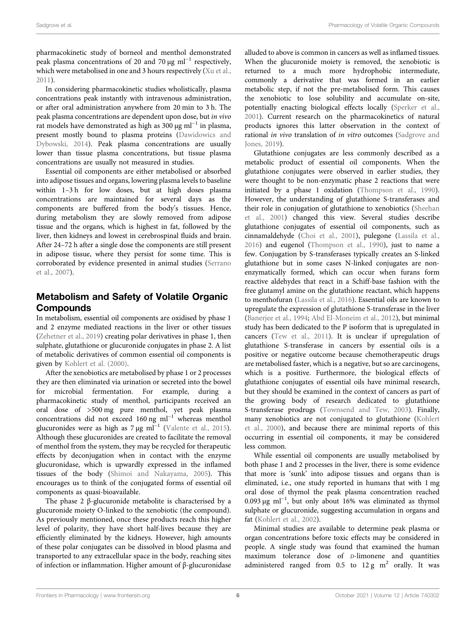pharmacokinetic study of borneol and menthol demonstrated peak plasma concentrations of 20 and 70  $\mu$ g ml<sup>-1</sup> respectively, which were metabolised in one and 3 hours respectively ([Xu et al.,](#page-15-5) [2011](#page-15-5)).

In considering pharmacokinetic studies wholistically, plasma concentrations peak instantly with intravenous administration, or after oral administration anywhere from 20 min to 3 h. The peak plasma concentrations are dependent upon dose, but in vivo rat models have demonstrated as high as 300  $\mu$ g ml<sup>-1</sup> in plasma, present mostly bound to plasma proteins ([Dawidowics and](#page-12-15) [Dybowski, 2014](#page-12-15)). Peak plasma concentrations are usually lower than tissue plasma concentrations, but tissue plasma concentrations are usually not measured in studies.

Essential oil components are either metabolised or absorbed into adipose tissues and organs, lowering plasma levels to baseline within 1–3 h for low doses, but at high doses plasma concentrations are maintained for several days as the components are buffered from the body's tissues. Hence, during metabolism they are slowly removed from adipose tissue and the organs, which is highest in fat, followed by the liver, then kidneys and lowest in cerebrospinal fluids and brain. After 24–72 h after a single dose the components are still present in adipose tissue, where they persist for some time. This is corroborated by evidence presented in animal studies ([Serrano](#page-14-20) [et al., 2007](#page-14-20)).

# Metabolism and Safety of Volatile Organic Compounds

In metabolism, essential oil components are oxidised by phase 1 and 2 enzyme mediated reactions in the liver or other tissues ([Zehetner et al., 2019\)](#page-15-6) creating polar derivatives in phase 1, then sulphate, glutathione or glucuronide conjugates in phase 2. A list of metabolic derivatives of common essential oil components is given by [Kohlert et al. \(2000\)](#page-13-14).

After the xenobiotics are metabolised by phase 1 or 2 processes they are then eliminated via urination or secreted into the bowel for microbial fermentation. For example, during a pharmacokinetic study of menthol, participants received an oral dose of >500 mg pure menthol, yet peak plasma concentrations did not exceed 160 ng ml−<sup>1</sup> whereas menthol glucuronides were as high as  $7 \mu g$  ml<sup>-1</sup> ([Valente et al., 2015\)](#page-15-7). Although these glucuronides are created to facilitate the removal of menthol from the system, they may be recycled for therapeutic effects by deconjugation when in contact with the enzyme glucuronidase, which is upwardly expressed in the inflamed tissues of the body [\(Shimoi and Nakayama, 2005](#page-14-21)). This encourages us to think of the conjugated forms of essential oil components as quasi-bioavailable.

The phase 2 β-glucuronide metabolite is characterised by a glucuronide moiety O-linked to the xenobiotic (the compound). As previously mentioned, once these products reach this higher level of polarity, they have short half-lives because they are efficiently eliminated by the kidneys. However, high amounts of these polar conjugates can be dissolved in blood plasma and transported to any extracellular space in the body, reaching sites of infection or inflammation. Higher amount of β-glucuronidase

alluded to above is common in cancers as well as inflamed tissues. When the glucuronide moiety is removed, the xenobiotic is returned to a much more hydrophobic intermediate, commonly a derivative that was formed in an earlier metabolic step, if not the pre-metabolised form. This causes the xenobiotic to lose solubility and accumulate on-site, potentially enacting biological effects locally ([Sperker et al.,](#page-14-22) [2001](#page-14-22)). Current research on the pharmacokinetics of natural products ignores this latter observation in the context of rational *in vivo* translation of *in vitro* outcomes [\(Sadgrove and](#page-14-9) [Jones, 2019\)](#page-14-9).

Glutathione conjugates are less commonly described as a metabolic product of essential oil components. When the glutathione conjugates were observed in earlier studies, they were thought to be non-enzymatic phase 2 reactions that were initiated by a phase 1 oxidation [\(Thompson et al., 1990\)](#page-15-8). However, the understanding of glutathione S-transferases and their role in conjugation of glutathione to xenobiotics [\(Sheehan](#page-14-23) [et al., 2001\)](#page-14-23) changed this view. Several studies describe glutathione conjugates of essential oil components, such as cinnamaldehyde [\(Choi et al., 2001](#page-12-16)), pulegone ([Lassila et al.,](#page-13-15) [2016](#page-13-15)) and eugenol [\(Thompson et al., 1990\)](#page-15-8), just to name a few. Conjugation by S-transferases typically creates an S-linked glutathione but in some cases N-linked conjugates are nonenzymatically formed, which can occur when furans form reactive aldehydes that react in a Schiff-base fashion with the free glutamyl amine on the glutathione reactant, which happens to menthofuran ([Lassila et al., 2016](#page-13-15)). Essential oils are known to upregulate the expression of glutathione S-transferase in the liver [\(Banerjee et al., 1994](#page-11-13); [Abd El-Moneim et al., 2012](#page-11-14)), but minimal study has been dedicated to the P isoform that is upregulated in cancers ([Tew et al., 2011](#page-14-24)). It is unclear if upregulation of glutathione S-transferase in cancers by essential oils is a positive or negative outcome because chemotherapeutic drugs are metabolised faster, which is a negative, but so are carcinogens, which is a positive. Furthermore, the biological effects of glutathione conjugates of essential oils have minimal research, but they should be examined in the context of cancers as part of the growing body of research dedicated to glutathione S-transferase prodrugs ([Townsend and Tew, 2003](#page-15-9)). Finally, many xenobiotics are not conjugated to glutathione [\(Kohlert](#page-13-14) [et al., 2000](#page-13-14)), and because there are minimal reports of this occurring in essential oil components, it may be considered less common.

While essential oil components are usually metabolised by both phase 1 and 2 processes in the liver, there is some evidence that more is 'sunk' into adipose tissues and organs than is eliminated, i.e., one study reported in humans that with 1 mg oral dose of thymol the peak plasma concentration reached 0.093 μg ml−<sup>1</sup> , but only about 16% was eliminated as thymol sulphate or glucuronide, suggesting accumulation in organs and fat [\(Kohlert et al., 2002\)](#page-13-16).

Minimal studies are available to determine peak plasma or organ concentrations before toxic effects may be considered in people. A single study was found that examined the human maximum tolerance dose of D-limonene and quantities administered ranged from  $0.5$  to  $12 \text{ g m}^2$  orally. It was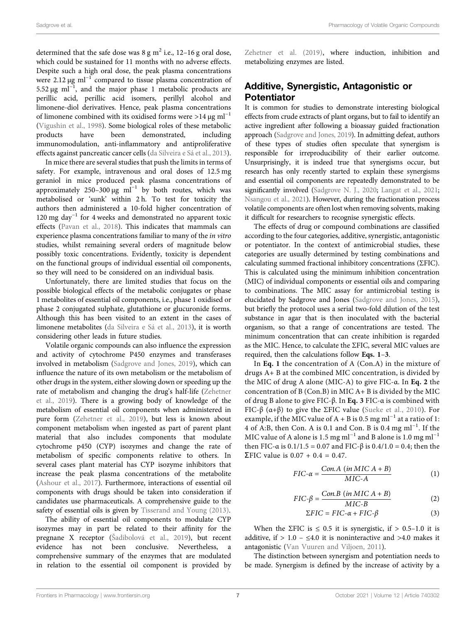determined that the safe dose was  $8 \text{ g m}^2$  i.e., 12-16 g oral dose, which could be sustained for 11 months with no adverse effects. Despite such a high oral dose, the peak plasma concentrations were 2.12  $\mu$ g ml<sup>-1</sup> compared to tissue plasma concentration of 5.52 μg ml<sup>-1</sup>, and the major phase 1 metabolic products are perillic acid, perillic acid isomers, perillyl alcohol and limonene-diol derivatives. Hence, peak plasma concentrations of limonene combined with its oxidised forms were >14  $\mu$ g ml<sup>-1</sup> ([Vigushin et al., 1998](#page-15-10)). Some biological roles of these metabolic products have been demonstrated, including immunomodulation, anti-inflammatory and antiproliferative effects against pancreatic cancer cells ([da Silveira e Sá et al., 2013\)](#page-12-17).

In mice there are several studies that push the limits in terms of safety. For example, intravenous and oral doses of 12.5 mg geraniol in mice produced peak plasma concentrations of approximately 250–300 μg  $ml^{-1}$  by both routes, which was metabolised or 'sunk' within 2 h. To test for toxicity the authors then administered a 10-fold higher concentration of 120 mg day<sup>-1</sup> for 4 weeks and demonstrated no apparent toxic effects [\(Pavan et al., 2018\)](#page-14-25). This indicates that mammals can experience plasma concentrations familiar to many of the in vitro studies, whilst remaining several orders of magnitude below possibly toxic concentrations. Evidently, toxicity is dependent on the functional groups of individual essential oil components, so they will need to be considered on an individual basis.

Unfortunately, there are limited studies that focus on the possible biological effects of the metabolic conjugates or phase 1 metabolites of essential oil components, i.e., phase 1 oxidised or phase 2 conjugated sulphate, glutathione or glucuronide forms. Although this has been visited to an extent in the cases of limonene metabolites [\(da Silveira e Sá et al., 2013\)](#page-12-17), it is worth considering other leads in future studies.

Volatile organic compounds can also influence the expression and activity of cytochrome P450 enzymes and transferases involved in metabolism [\(Sadgrove and Jones, 2019](#page-14-9)), which can influence the nature of its own metabolism or the metabolism of other drugs in the system, either slowing down or speeding up the rate of metabolism and changing the drug's half-life [\(Zehetner](#page-15-6) [et al., 2019\)](#page-15-6). There is a growing body of knowledge of the metabolism of essential oil components when administered in pure form ([Zehetner et al., 2019](#page-15-6)), but less is known about component metabolism when ingested as part of parent plant material that also includes components that modulate cytochrome p450 (CYP) isozymes and change the rate of metabolism of specific components relative to others. In several cases plant material has CYP isozyme inhibitors that increase the peak plasma concentrations of the metabolite ([Ashour et al., 2017\)](#page-11-15). Furthermore, interactions of essential oil components with drugs should be taken into consideration if candidates use pharmaceuticals. A comprehensive guide to the safety of essential oils is given by [Tisserand and Young \(2013\)](#page-15-11).

The ability of essential oil components to modulate CYP isozymes may in part be related to their affinity for the pregnane X receptor (Š[adibolová et al., 2019](#page-14-26)), but recent evidence has not been conclusive. Nevertheless, a comprehensive summary of the enzymes that are modulated in relation to the essential oil component is provided by

[Zehetner et al. \(2019\),](#page-15-6) where induction, inhibition and metabolizing enzymes are listed.

## Additive, Synergistic, Antagonistic or Potentiator

It is common for studies to demonstrate interesting biological effects from crude extracts of plant organs, but to fail to identify an active ingredient after following a bioassay guided fractionation approach [\(Sadgrove and Jones, 2019\)](#page-14-9). In admitting defeat, authors of these types of studies often speculate that synergism is responsible for irreproducibility of their earlier outcome. Unsurprisingly, it is indeed true that synergisms occur, but research has only recently started to explain these synergisms and essential oil components are repeatedly demonstrated to be significantly involved ([Sadgrove N. J., 2020](#page-14-0); [Langat et al., 2021;](#page-13-3) [Nsangou et al., 2021](#page-13-4)). However, during the fractionation process volatile components are often lost when removing solvents, making it difficult for researchers to recognise synergistic effects.

The effects of drug or compound combinations are classified according to the four categories, additive, synergistic, antagonistic or potentiator. In the context of antimicrobial studies, these categories are usually determined by testing combinations and calculating summed fractional inhibitory concentrations (ΣFIC). This is calculated using the minimum inhibition concentration (MIC) of individual components or essential oils and comparing to combinations. The MIC assay for antimicrobial testing is elucidated by Sadgrove and Jones [\(Sadgrove and Jones, 2015\)](#page-14-8), but briefly the protocol uses a serial two-fold dilution of the test substance in agar that is then inoculated with the bacterial organism, so that a range of concentrations are tested. The minimum concentration that can create inhibition is regarded as the MIC. Hence, to calculate the ΣFIC, several MIC values are required, then the calculations follow [Eqs. 1](#page-6-0)–[3](#page-6-1).

In [Eq. 1](#page-6-0) the concentration of A (Con.A) in the mixture of drugs A+ B at the combined MIC concentration, is divided by the MIC of drug A alone (MIC-A) to give FIC-α. In [Eq. 2](#page-6-2) the concentration of  $B$  (Con.B) in MIC  $A + B$  is divided by the MIC of drug B alone to give FIC-β. In [Eq. 3](#page-6-1) FIC-α is combined with FIC-β (α+β) to give the ΣFIC value [\(Sueke et al., 2010](#page-14-27)). For example, if the MIC value of A + B is 0.5 mg ml<sup>-1</sup> at a ratio of 1: 4 of A:B, then Con. A is 0.1 and Con. B is 0.4 mg ml−<sup>1</sup> . If the MIC value of A alone is 1.5 mg ml<sup>-1</sup> and B alone is 1.0 mg ml<sup>-1</sup> then FIC-α is  $0.1/1.5 = 0.07$  and FIC-β is  $0.4/1.0 = 0.4$ ; then the ΣFIC value is  $0.07 + 0.4 = 0.47$ .

<span id="page-6-2"></span><span id="page-6-0"></span>
$$
FIC-\alpha = \frac{Con.A \ (in MIC A + B)}{MIC-A} \tag{1}
$$

$$
FIC-\beta = \frac{Con.B (in MIC A + B)}{MIC-B}
$$
 (2)

$$
\Sigma FIC = FIC - \alpha + FIC - \beta \tag{3}
$$

<span id="page-6-1"></span>When the ΣFIC is  $\leq 0.5$  it is synergistic, if  $> 0.5-1.0$  it is additive, if  $> 1.0 - \leq 4.0$  it is noninteractive and  $>4.0$  makes it antagonistic [\(Van Vuuren and Viljoen, 2011\)](#page-15-12).

The distinction between synergism and potentiation needs to be made. Synergism is defined by the increase of activity by a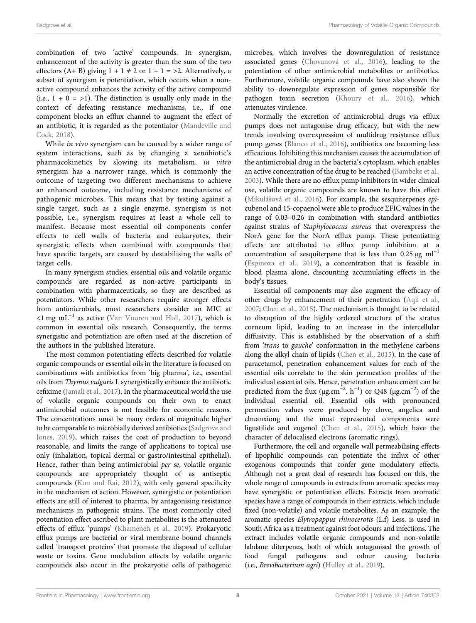combination of two 'active' compounds. In synergism, enhancement of the activity is greater than the sum of the two effectors (A+ B) giving  $1 + 1 \neq 2$  or  $1 + 1 = \geq 2$ . Alternatively, a subset of synergism is potentiation, which occurs when a nonactive compound enhances the activity of the active compound (i.e.,  $1 + 0 = 1$ ). The distinction is usually only made in the context of defeating resistance mechanisms, i.e., if one component blocks an efflux channel to augment the effect of an antibiotic, it is regarded as the potentiator [\(Mandeville and](#page-13-17) [Cock, 2018](#page-13-17)).

While in vivo synergism can be caused by a wider range of system interactions, such as by changing a xenobiotic's pharmacokinetics by slowing its metabolism, in vitro synergism has a narrower range, which is commonly the outcome of targeting two different mechanisms to achieve an enhanced outcome, including resistance mechanisms of pathogenic microbes. This means that by testing against a single target, such as a single enzyme, synergism is not possible, i.e., synergism requires at least a whole cell to manifest. Because most essential oil components confer effects to cell walls of bacteria and eukaryotes, their synergistic effects when combined with compounds that have specific targets, are caused by destabilising the walls of target cells.

In many synergism studies, essential oils and volatile organic compounds are regarded as non-active participants in combination with pharmaceuticals, so they are described as potentiators. While other researchers require stronger effects from antimicrobials, most researchers consider an MIC at  $\leq 1$  mg mL<sup>-1</sup> as active ([Van Vuuren and Holl, 2017\)](#page-15-1), which is common in essential oils research. Consequently, the terms synergistic and potentiation are often used at the discretion of the authors in the published literature.

The most common potentiating effects described for volatile organic compounds or essential oils in the literature is focused on combinations with antibiotics from 'big pharma', i.e., essential oils from Thymus vulgaris L synergistically enhance the antibiotic cefixime [\(Jamali et al., 2017\)](#page-12-18). In the pharmaceutical world the use of volatile organic compounds on their own to enact antimicrobial outcomes is not feasible for economic reasons. The concentrations must be many orders of magnitude higher to be comparable to microbially derived antibiotics ([Sadgrove and](#page-14-9) [Jones, 2019\)](#page-14-9), which raises the cost of production to beyond reasonable, and limits the range of applications to topical use only (inhalation, topical dermal or gastro/intestinal epithelial). Hence, rather than being antimicrobial per se, volatile organic compounds are appropriately thought of as antiseptic compounds ([Kon and Rai, 2012\)](#page-13-18), with only general specificity in the mechanism of action. However, synergistic or potentiation effects are still of interest to pharma, by antagonising resistance mechanisms in pathogenic strains. The most commonly cited potentiation effect ascribed to plant metabolites is the attenuated effects of efflux 'pumps' ([Khameneh et al., 2019\)](#page-13-19). Prokaryotic efflux pumps are bacterial or viral membrane bound channels called 'transport proteins' that promote the disposal of cellular waste or toxins. Gene modulation effects by volatile organic compounds also occur in the prokaryotic cells of pathogenic

microbes, which involves the downregulation of resistance associated genes [\(Chovanová et al., 2016\)](#page-12-19), leading to the potentiation of other antimicrobial metabolites or antibiotics. Furthermore, volatile organic compounds have also shown the ability to downregulate expression of genes responsible for pathogen toxin secretion [\(Khoury et al., 2016](#page-12-20)), which attenuates virulence.

Normally the excretion of antimicrobial drugs via efflux pumps does not antagonise drug efficacy, but with the new trends involving overexpression of multidrug resistance efflux pump genes [\(Blanco et al., 2016\)](#page-11-16), antibiotics are becoming less efficacious. Inhibiting this mechanism causes the accumulation of the antimicrobial drug in the bacteria's cytoplasm, which enables an active concentration of the drug to be reached ([Bambeke et al.,](#page-15-13) [2003](#page-15-13)). While there are no efflux pump inhibitors in wider clinical use, volatile organic compounds are known to have this effect (Mikuláš[ová et al., 2016](#page-13-2)). For example, the sesquiterpenes epicubenol and 15-copaenol were able to produce ΣFIC values in the range of 0.03–0.26 in combination with standard antibiotics against strains of Staphylococcus aureus that overexpress the NorA gene for the NorA efflux pump. These potentiating effects are attributed to efflux pump inhibition at a concentration of sesquiterpene that is less than  $0.25 \mu g$  ml<sup>-1</sup> [\(Espinoza et al., 2019\)](#page-12-21), a concentration that is feasible in blood plasma alone, discounting accumulating effects in the body's tissues.

Essential oil components may also augment the efficacy of other drugs by enhancement of their penetration [\(Aqil et al.,](#page-11-17) [2007](#page-11-17); [Chen et al., 2015\)](#page-12-22). The mechanism is thought to be related to disruption of the highly ordered structure of the stratus corneum lipid, leading to an increase in the intercellular diffusivity. This is established by the observation of a shift from 'trans to gauche' conformation in the methylene carbons along the alkyl chain of lipids ([Chen et al., 2015](#page-12-22)). In the case of paracetamol, penetration enhancement values for each of the essential oils correlate to the skin permeation profiles of the individual essential oils. Hence, penetration enhancement can be predicted from the flux ( $\mu$ g.cm<sup>-2</sup>. h<sup>-1</sup>) or Q48 ( $\mu$ g.cm<sup>-2</sup>) of the individual essential oil. Essential oils with pronounced permeation values were produced by clove, angelica and chuanxiong and the most represented components were ligustilide and eugenol [\(Chen et al., 2015\)](#page-12-22), which have the character of delocalised electrons (aromatic rings).

Furthermore, the cell and organelle wall permeabilising effects of lipophilic compounds can potentiate the influx of other exogenous compounds that confer gene modulatory effects. Although not a great deal of research has focused on this, the whole range of compounds in extracts from aromatic species may have synergistic or potentiation effects. Extracts from aromatic species have a range of compounds in their extracts, which include fixed (non-volatile) and volatile metabolites. As an example, the aromatic species Elytropappus rhinocerotis (L.f) Less. is used in South Africa as a treatment against foot odours and infections. The extract includes volatile organic compounds and non-volatile labdane diterpenes, both of which antagonised the growth of food fungal pathogens and odour causing bacteria (i.e., Brevibacterium agri) [\(Hulley et al., 2019\)](#page-12-1).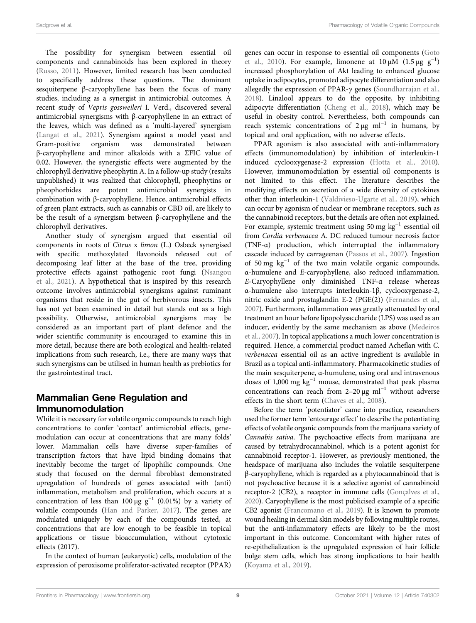The possibility for synergism between essential oil components and cannabinoids has been explored in theory ([Russo, 2011](#page-14-28)). However, limited research has been conducted to specifically address these questions. The dominant sesquiterpene β-caryophyllene has been the focus of many studies, including as a synergist in antimicrobial outcomes. A recent study of Vepris gossweileri I. Verd., discovered several antimicrobial synergisms with β-caryophyllene in an extract of the leaves, which was defined as a 'multi-layered' synergism ([Langat et al., 2021\)](#page-13-3). Synergism against a model yeast and Gram-positive organism was demonstrated between β-caryophyllene and minor alkaloids with a ΣFIC value of 0.02. However, the synergistic effects were augmented by the chlorophyll derivative pheophytin A. In a follow-up study (results unpublished) it was realized that chlorophyll, pheophytins or pheophorbides are potent antimicrobial synergists in combination with β-caryophyllene. Hence, antimicrobial effects of green plant extracts, such as cannabis or CBD oil, are likely to be the result of a synergism between β-caryophyllene and the chlorophyll derivatives.

Another study of synergism argued that essential oil components in roots of Citrus x limon (L.) Osbeck synergised with specific methoxylated flavonoids released out of decomposing leaf litter at the base of the tree, providing protective effects against pathogenic root fungi [\(Nsangou](#page-13-4) [et al., 2021\)](#page-13-4). A hypothetical that is inspired by this research outcome involves antimicrobial synergisms against ruminant organisms that reside in the gut of herbivorous insects. This has not yet been examined in detail but stands out as a high possibility. Otherwise, antimicrobial synergisms may be considered as an important part of plant defence and the wider scientific community is encouraged to examine this in more detail, because there are both ecological and health-related implications from such research, i.e., there are many ways that such synergisms can be utilised in human health as prebiotics for the gastrointestinal tract.

# Mammalian Gene Regulation and Immunomodulation

While it is necessary for volatile organic compounds to reach high concentrations to confer 'contact' antimicrobial effects, genemodulation can occur at concentrations that are many folds' lower. Mammalian cells have diverse super-families of transcription factors that have lipid binding domains that inevitably become the target of lipophilic compounds. One study that focused on the dermal fibroblast demonstrated upregulation of hundreds of genes associated with (anti) inflammation, metabolism and proliferation, which occurs at a concentration of less than 100  $\mu$ g g<sup>-1</sup> (0.01%) by a variety of volatile compounds [\(Han and Parker, 2017](#page-12-23)). The genes are modulated uniquely by each of the compounds tested, at concentrations that are low enough to be feasible in topical applications or tissue bioaccumulation, without cytotoxic effects (2017).

In the context of human (eukaryotic) cells, modulation of the expression of peroxisome proliferator-activated receptor (PPAR) genes can occur in response to essential oil components ([Goto](#page-12-2) [et al., 2010\)](#page-12-2). For example, limonene at  $10 \mu \dot{M}$  (1.5 µg g<sup>-1</sup>) increased phosphorylation of Akt leading to enhanced glucose uptake in adipocytes, promoted adipocyte differentiation and also allegedly the expression of PPAR- $\gamma$  genes ([Soundharrajan et al.,](#page-14-29) [2018](#page-14-29)). Linalool appears to do the opposite, by inhibiting adipocyte differentiation ([Cheng et al., 2018](#page-12-24)), which may be useful in obesity control. Nevertheless, both compounds can reach systemic concentrations of  $2 \mu g$  ml<sup>-1</sup> in humans, by topical and oral application, with no adverse effects.

PPAR agonism is also associated with anti-inflammatory effects (immunomodulation) by inhibition of interleukin-1 induced cyclooxygenase-2 expression [\(Hotta et al., 2010\)](#page-12-25). However, immunomodulation by essential oil components is not limited to this effect. The literature describes the modifying effects on secretion of a wide diversity of cytokines other than interleukin-1 [\(Valdivieso-Ugarte et al., 2019\)](#page-15-14), which can occur by agonism of nuclear or membrane receptors, such as the cannabinoid receptors, but the details are often not explained. For example, systemic treatment using 50 mg  $kg^{-1}$  essential oil from Cordia verbenacea A. DC reduced tumour necrosis factor (TNF-α) production, which interrupted the inflammatory cascade induced by carrageenan [\(Passos et al., 2007](#page-13-20)). Ingestion of 50 mg  $kg^{-1}$  of the two main volatile organic compounds, α-humulene and E-caryophyllene, also reduced inflammation. E-Caryophyllene only diminished TNF-α release whereas α-humulene also interrupts interleukin-1β, cyclooxygenase-2, nitric oxide and prostaglandin E-2 (PGE(2)) [\(Fernandes et al.,](#page-12-0) [2007](#page-12-0)). Furthermore, inflammation was greatly attenuated by oral treatment an hour before lipopolysaccharide (LPS) was used as an inducer, evidently by the same mechanism as above ([Medeiros](#page-13-0) [et al., 2007](#page-13-0)). In topical applications a much lower concentration is required. Hence, a commercial product named Acheflan with C. verbenacea essential oil as an active ingredient is available in Brazil as a topical anti-inflammatory. Pharmacokinetic studies of the main sesquiterpene, α-humulene, using oral and intravenous doses of 1,000 mg kg−<sup>1</sup> mouse, demonstrated that peak plasma concentrations can reach from 2–20  $\mu$ g ml<sup>-1</sup> without adverse effects in the short term ([Chaves et al., 2008\)](#page-11-18).

Before the term 'potentiator' came into practice, researchers used the former term 'entourage effect' to describe the potentiating effects of volatile organic compounds from the marijuana variety of Cannabis sativa. The psychoactive effects from marijuana are caused by tetrahydrocannabinol, which is a potent agonist for cannabinoid receptor-1. However, as previously mentioned, the headspace of marijuana also includes the volatile sesquiterpene β-caryophyllene, which is regarded as a phytocannabinoid that is not psychoactive because it is a selective agonist of cannabinoid receptor-2 (CB2), a receptor in immune cells [\(Gonçalves et al.,](#page-12-26) [2020\)](#page-12-26). Caryophyllene is the most publicised example of a specific CB2 agonist ([Francomano et al., 2019\)](#page-12-27). It is known to promote wound healing in dermal skin models by following multiple routes, but the anti-inflammatory effects are likely to be the most important in this outcome. Concomitant with higher rates of re-epithelialization is the upregulated expression of hair follicle bulge stem cells, which has strong implications to hair health [\(Koyama et al., 2019](#page-13-21)).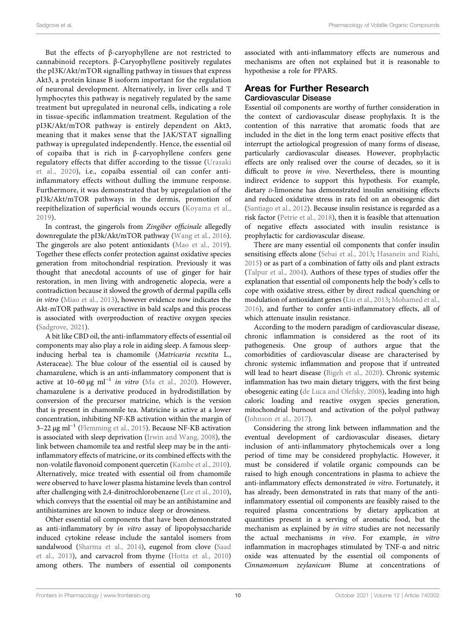But the effects of β-caryophyllene are not restricted to cannabinoid receptors. β-Caryophyllene positively regulates the pI3K/Akt/mTOR signalling pathway in tissues that express Akt3, a protein kinase B isoform important for the regulation of neuronal development. Alternatively, in liver cells and T lymphocytes this pathway is negatively regulated by the same treatment but upregulated in neuronal cells, indicating a role in tissue-specific inflammation treatment. Regulation of the pI3K/Akt/mTOR pathway is entirely dependent on Akt3, meaning that it makes sense that the JAK/STAT signalling pathway is upregulated independently. Hence, the essential oil of copaiba that is rich in β-caryophyllene confers gene regulatory effects that differ according to the tissue ([Urasaki](#page-15-15) [et al., 2020](#page-15-15)), i.e., copaiba essential oil can confer antiinflammatory effects without dulling the immune response. Furthermore, it was demonstrated that by upregulation of the pI3k/Akt/mTOR pathways in the dermis, promotion of reepithelization of superficial wounds occurs ([Koyama et al.,](#page-13-21) [2019](#page-13-21)).

In contrast, the gingerols from Zingiber officinale allegedly downregulate the pI3k/Akt/mTOR pathway ([Wang et al., 2016\)](#page-15-16). The gingerols are also potent antioxidants ([Mao et al., 2019\)](#page-13-22). Together these effects confer protection against oxidative species generation from mitochondrial respiration. Previously it was thought that anecdotal accounts of use of ginger for hair restoration, in men living with androgenetic alopecia, were a contradiction because it slowed the growth of dermal papilla cells in vitro [\(Miao et al., 2013](#page-13-23)), however evidence now indicates the Akt-mTOR pathway is overactive in bald scalps and this process is associated with overproduction of reactive oxygen species ([Sadgrove, 2021](#page-14-30)).

A bit like CBD oil, the anti-inflammatory effects of essential oil components may also play a role in aiding sleep. A famous sleepinducing herbal tea is chamomile (Matricaria recutita L., Asteraceae). The blue colour of the essential oil is caused by chamazulene, which is an anti-inflammatory component that is active at 10–60  $\mu$ g ml<sup>-1</sup> in vitro [\(Ma et al., 2020](#page-13-24)). However, chamazulene is a derivative produced in hydrodistillation by conversion of the precursor matricine, which is the version that is present in chamomile tea. Matricine is active at a lower concentration, inhibiting NF-KB activation within the margin of 3–22 μg ml−<sup>1</sup> ([Flemming et al., 2015](#page-12-28)). Because NF-KB activation is associated with sleep deprivation [\(Irwin and Wang, 2008](#page-12-29)), the link between chamomile tea and restful sleep may be in the antiinflammatory effects of matricine, or its combined effects with the non-volatile flavonoid component quercetin ([Kambe et al., 2010\)](#page-13-25). Alternatively, mice treated with essential oil from chamomile were observed to have lower plasma histamine levels than control after challenging with 2,4-dinitrochlorobenzene [\(Lee et al., 2010\)](#page-13-26), which conveys that the essential oil may be an antihistamine and antihistamines are known to induce sleep or drowsiness.

Other essential oil components that have been demonstrated as anti-inflammatory by in vitro assay of lipopolysaccharide induced cytokine release include the santalol isomers from sandalwood [\(Sharma et al., 2014\)](#page-14-31), eugenol from clove ([Saad](#page-14-32) [et al., 2013](#page-14-32)), and carvacrol from thyme [\(Hotta et al., 2010\)](#page-12-25) among others. The numbers of essential oil components

associated with anti-inflammatory effects are numerous and mechanisms are often not explained but it is reasonable to hypothesise a role for PPARS.

#### Areas for Further Research Cardiovascular Disease

Essential oil components are worthy of further consideration in the context of cardiovascular disease prophylaxis. It is the contention of this narrative that aromatic foods that are included in the diet in the long term enact positive effects that interrupt the aetiological progression of many forms of disease, particularly cardiovascular diseases. However, prophylactic effects are only realised over the course of decades, so it is difficult to prove in vivo. Nevertheless, there is mounting indirect evidence to support this hypothesis. For example, dietary *D*-limonene has demonstrated insulin sensitising effects and reduced oxidative stress in rats fed on an obesogenic diet [\(Santiago et al., 2012](#page-15-17)). Because insulin resistance is regarded as a risk factor [\(Petrie et al., 2018](#page-14-33)), then it is feasible that attenuation of negative effects associated with insulin resistance is prophylactic for cardiovascular disease.

There are many essential oil components that confer insulin sensitising effects alone ([Sebai et al., 2013;](#page-14-34) [Hasanein and Riahi,](#page-12-30) [2015](#page-12-30)) or as part of a combination of fatty oils and plant extracts [\(Talpur et al., 2004\)](#page-14-35). Authors of these types of studies offer the explanation that essential oil components help the body's cells to cope with oxidative stress, either by direct radical quenching or modulation of antioxidant genes [\(Liu et al., 2013;](#page-13-27) [Mohamed et al.,](#page-13-28) [2016](#page-13-28)), and further to confer anti-inflammatory effects, all of which attenuate insulin resistance.

According to the modern paradigm of cardiovascular disease, chronic inflammation is considered as the root of its pathogenesis. One group of authors argue that the comorbidities of cardiovascular disease are characterised by chronic systemic inflammation and propose that if untreated will lead to heart disease [\(Bigeh et al., 2020\)](#page-11-19). Chronic systemic inflammation has two main dietary triggers, with the first being obesogenic eating [\(de Luca and Olefsky, 2008\)](#page-12-31), leading into high caloric loading and reactive oxygen species generation, mitochondrial burnout and activation of the polyol pathway [\(Johnson et al., 2017\)](#page-13-29).

Considering the strong link between inflammation and the eventual development of cardiovascular diseases, dietary inclusion of anti-inflammatory phytochemicals over a long period of time may be considered prophylactic. However, it must be considered if volatile organic compounds can be raised to high enough concentrations in plasma to achieve the anti-inflammatory effects demonstrated in vitro. Fortunately, it has already, been demonstrated in rats that many of the antiinflammatory essential oil components are feasibly raised to the required plasma concentrations by dietary application at quantities present in a serving of aromatic food, but the mechanism as explained by in vitro studies are not necessarily the actual mechanisms in vivo. For example, in vitro inflammation in macrophages stimulated by TNF-α and nitric oxide was attenuated by the essential oil components of Cinnamomum zeylanicum Blume at concentrations of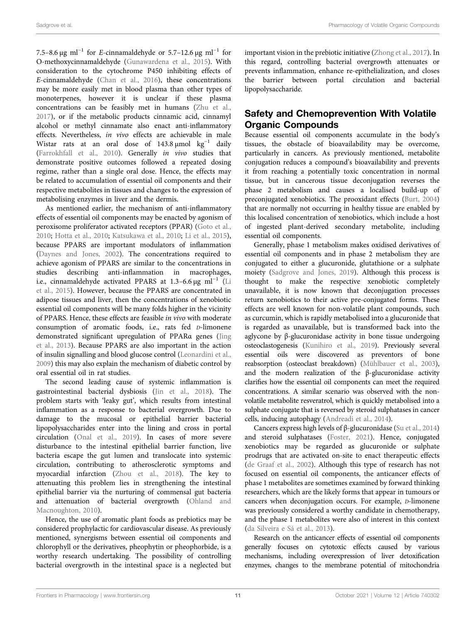7.5–8.6 μg ml<sup>-1</sup> for E-cinnamaldehyde or 5.7–12.6 μg ml<sup>-1</sup> for O-methoxycinnamaldehyde [\(Gunawardena et al., 2015\)](#page-12-32). With consideration to the cytochrome P450 inhibiting effects of E-cinnamaldehyde ([Chan et al., 2016\)](#page-11-20), these concentrations may be more easily met in blood plasma than other types of monoterpenes, however it is unclear if these plasma concentrations can be feasibly met in humans [\(Zhu et al.,](#page-15-18) [2017](#page-15-18)), or if the metabolic products cinnamic acid, cinnamyl alcohol or methyl cinnamate also enact anti-inflammatory effects. Nevertheless, in vivo effects are achievable in male Wistar rats at an oral dose of 143.8 µmol  $kg^{-1}$  daily ([Farrokhfall et al., 2010\)](#page-12-33). Generally in vivo studies that demonstrate positive outcomes followed a repeated dosing regime, rather than a single oral dose. Hence, the effects may be related to accumulation of essential oil components and their respective metabolites in tissues and changes to the expression of metabolising enzymes in liver and the dermis.

As mentioned earlier, the mechanism of anti-inflammatory effects of essential oil components may be enacted by agonism of peroxisome proliferator activated receptors (PPAR) [\(Goto et al.,](#page-12-2) [2010](#page-12-2); [Hotta et al., 2010](#page-12-25); [Katsukawa et al., 2010](#page-13-30); [Li et al., 2015\)](#page-13-31), because PPARS are important modulators of inflammation ([Daynes and Jones, 2002](#page-12-34)). The concentrations required to achieve agonism of PPARS are similar to the concentrations in studies describing anti-inflammation in macrophages, i.e., cinnamaldehyde activated PPARS at 1.3–6.6 μg ml−<sup>1</sup> ([Li](#page-13-31) [et al., 2015\)](#page-13-31). However, because the PPARS are concentrated in adipose tissues and liver, then the concentrations of xenobiotic essential oil components will be many folds higher in the vicinity of PPARS. Hence, these effects are feasible in vivo with moderate consumption of aromatic foods, i.e., rats fed D-limonene demonstrated significant upregulation of PPARα genes [\(Jing](#page-12-35) [et al., 2013\)](#page-12-35). Because PPARS are also important in the action of insulin signalling and blood glucose control ([Leonardini et al.,](#page-13-32) [2009](#page-13-32)) this may also explain the mechanism of diabetic control by oral essential oil in rat studies.

The second leading cause of systemic inflammation is gastrointestinal bacterial dysbiosis ([Jin et al., 2018\)](#page-12-36). The problem starts with 'leaky gut', which results from intestinal inflammation as a response to bacterial overgrowth. Due to damage to the mucosal or epithelial barrier bacterial lipopolysaccharides enter into the lining and cross in portal circulation ([Onal et al., 2019](#page-13-33)). In cases of more severe disturbance to the intestinal epithelial barrier function, live bacteria escape the gut lumen and translocate into systemic circulation, contributing to atherosclerotic symptoms and myocardial infarction [\(Zhou et al., 2018](#page-15-19)). The key to attenuating this problem lies in strengthening the intestinal epithelial barrier via the nurturing of commensal gut bacteria and attenuation of bacterial overgrowth ([Ohland and](#page-13-34) [Macnoughton, 2010](#page-13-34)).

Hence, the use of aromatic plant foods as prebiotics may be considered prophylactic for cardiovascular disease. As previously mentioned, synergisms between essential oil components and chlorophyll or the derivatives, pheophytin or pheophorbide, is a worthy research undertaking. The possibility of controlling bacterial overgrowth in the intestinal space is a neglected but

important vision in the prebiotic initiative [\(Zhong et al., 2017](#page-15-20)). In this regard, controlling bacterial overgrowth attenuates or prevents inflammation, enhance re-epithelialization, and closes the barrier between portal circulation and bacterial lipopolysaccharide.

# Safety and Chemoprevention With Volatile **Organic Compounds**

Because essential oil components accumulate in the body's tissues, the obstacle of bioavailability may be overcome, particularly in cancers. As previously mentioned, metabolite conjugation reduces a compound's bioavailability and prevents it from reaching a potentially toxic concentration in normal tissue, but in cancerous tissue deconjugation reverses the phase 2 metabolism and causes a localised build-up of preconjugated xenobiotics. The prooxidant effects [\(Burt, 2004\)](#page-11-21) that are normally not occurring in healthy tissue are enabled by this localised concentration of xenobiotics, which include a host of ingested plant-derived secondary metabolite, including essential oil components.

Generally, phase 1 metabolism makes oxidised derivatives of essential oil components and in phase 2 metabolism they are conjugated to either a glucuronide, glutathione or a sulphate moiety [\(Sadgrove and Jones, 2019\)](#page-14-9). Although this process is thought to make the respective xenobiotic completely unavailable, it is now known that deconjugation processes return xenobiotics to their active pre-conjugated forms. These effects are well known for non-volatile plant compounds, such as curcumin, which is rapidly metabolised into a glucuronide that is regarded as unavailable, but is transformed back into the aglycone by β-glucuronidase activity in bone tissue undergoing osteoclastogenesis ([Kunihiro et al., 2019\)](#page-13-35). Previously several essential oils were discovered as preventors of bone reabsorption (osteoclast breakdown) [\(Mühlbauer et al., 2003\)](#page-13-36), and the modern realization of the β-glucuronidase activity clarifies how the essential oil components can meet the required concentrations. A similar scenario was observed with the nonvolatile metabolite resveratrol, which is quickly metabolised into a sulphate conjugate that is reversed by steroid sulphatases in cancer cells, inducing autophagy [\(Andreadi et al., 2014](#page-11-22)).

Cancers express high levels of β-glucuronidase ([Su et al., 2014\)](#page-14-36) and steroid sulphatases ([Foster, 2021](#page-12-37)). Hence, conjugated xenobiotics may be regarded as glucuronide or sulphate prodrugs that are activated on-site to enact therapeutic effects [\(de Graaf et al., 2002](#page-12-38)). Although this type of research has not focused on essential oil components, the anticancer effects of phase 1 metabolites are sometimes examined by forward thinking researchers, which are the likely forms that appear in tumours or cancers when deconjugation occurs. For example, *D*-limonene was previously considered a worthy candidate in chemotherapy, and the phase 1 metabolites were also of interest in this context [\(da Silveira e Sá et al., 2013](#page-12-17)).

Research on the anticancer effects of essential oil components generally focuses on cytotoxic effects caused by various mechanisms, including overexpression of liver detoxification enzymes, changes to the membrane potential of mitochondria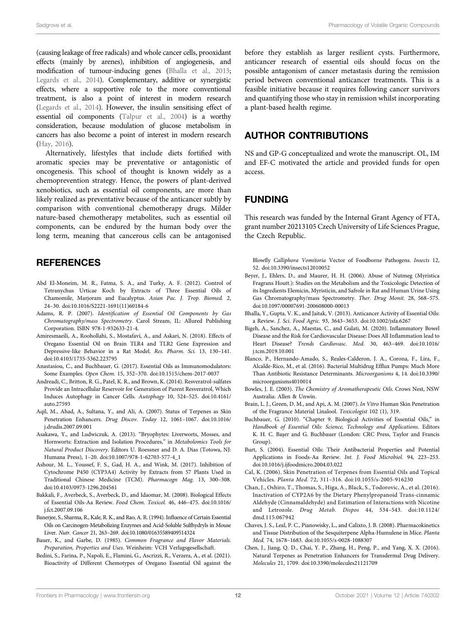(causing leakage of free radicals) and whole cancer cells, prooxidant effects (mainly by arenes), inhibition of angiogenesis, and modification of tumour-inducing genes [\(Bhalla et al., 2013](#page-11-23); [Legards et al., 2014\)](#page-13-37). Complementary, additive or synergistic effects, where a supportive role to the more conventional treatment, is also a point of interest in modern research [\(Legards et al., 2014](#page-13-37)). However, the insulin sensitising effect of essential oil components ([Talpur et al., 2004\)](#page-14-35) is a worthy consideration, because modulation of glucose metabolism in cancers has also become a point of interest in modern research [\(Hay, 2016](#page-12-39)).

Alternatively, lifestyles that include diets fortified with aromatic species may be preventative or antagonistic of oncogenesis. This school of thought is known widely as a chemoprevention strategy. Hence, the powers of plant-derived xenobiotics, such as essential oil components, are more than likely realized as preventative because of the anticancer subtly by comparison with conventional chemotherapy drugs. Milder nature-based chemotherapy metabolites, such as essential oil components, can be endured by the human body over the long term, meaning that cancerous cells can be antagonised

## **REFERENCES**

- <span id="page-11-14"></span>Abd El-Moneim, M. R., Fatma, S. A., and Turky, A. F. (2012). Control of Tetranychus Urticae Koch by Extracts of Three Essential Oils of Chamomile, Marjoram and Eucalyptus. Asian Pac. J. Trop. Biomed. 2, 24–30. doi:[10.1016/S2221-1691\(11\)60184-6](https://doi.org/10.1016/S2221-1691(11)60184-6)
- <span id="page-11-2"></span>Adams, R. P. (2007). Identification of Essential Oil Components by Gas Chromatography/mass Spectrometry. Carol Stream, IL: Allured Publishing Corporation. ISBN 978-1-932633-21-4.
- <span id="page-11-1"></span>Amiresmaeili, A., Roohollahi, S., Mostafavi, A., and Askari, N. (2018). Effects of Oregano Essential Oil on Brain TLR4 and TLR2 Gene Expression and Depressive-like Behavior in a Rat Model. Res. Pharm. Sci. 13, 130–141. doi:[10.4103/1735-5362.223795](https://doi.org/10.4103/1735-5362.223795)
- <span id="page-11-0"></span>Anastasiou, C., and Buchbauer, G. (2017). Essential Oils as Immunomodulators: Some Examples. Open Chem. 15, 352–370. doi:[10.1515/chem-2017-0037](https://doi.org/10.1515/chem-2017-0037)
- <span id="page-11-22"></span>Andreadi, C., Britton, R. G., Patel, K. R., and Brown, K. (2014). Resveratrol-sulfates Provide an Intracellular Reservoir for Generation of Parent Resveratrol, Which Induces Autophagy in Cancer Cells. Autophagy 10, 524–525. doi:[10.4161/](https://doi.org/10.4161/auto.27593) [auto.27593](https://doi.org/10.4161/auto.27593)
- <span id="page-11-17"></span>Aqil, M., Ahad, A., Sultana, Y., and Ali, A. (2007). Status of Terpenes as Skin Penetration Enhancers. Drug Discov. Today 12, 1061–1067. doi:[10.1016/](https://doi.org/10.1016/j.drudis.2007.09.001) [j.drudis.2007.09.001](https://doi.org/10.1016/j.drudis.2007.09.001)
- <span id="page-11-3"></span>Asakawa, Y., and Ludwiczuk, A. (2013). "Bryophytes: Liverworts, Mosses, and Hornworts: Extraction and Isolation Procedures," in Metabolomics Tools for Natural Product Discovery. Editors U. Roessner and D. A. Dias (Totowa, NJ: Humana Press), 1–20. doi[:10.1007/978-1-62703-577-4\\_1](https://doi.org/10.1007/978-1-62703-577-4_1)
- <span id="page-11-15"></span>Ashour, M. L., Youssef, F. S., Gad, H. A., and Wink, M. (2017). Inhibition of Cytochrome P450 (CYP3A4) Activity by Extracts from 57 Plants Used in Traditional Chinese Medicine (TCM). Pharmacogn Mag. 13, 300–308. doi:[10.4103/0973-1296.204561](https://doi.org/10.4103/0973-1296.204561)
- <span id="page-11-12"></span>Bakkali, F., Averbeck, S., Averbeck, D., and Idaomar, M. (2008). Biological Effects of Essential Oils-Aa Review. Food Chem. Toxicol. 46, 446–475. doi:[10.1016/](https://doi.org/10.1016/j.fct.2007.09.106) [j.fct.2007.09.106](https://doi.org/10.1016/j.fct.2007.09.106)
- <span id="page-11-13"></span>Banerjee, S., Sharma, R., Kale, R. K., and Rao, A. R. (1994). Influence of Certain Essential Oils on Carcinogen-Metabolizing Enzymes and Acid-Soluble Sulfhydryls in Mouse Liver. Nutr. Cancer 21, 263–269. doi[:10.1080/01635589409514324](https://doi.org/10.1080/01635589409514324)
- <span id="page-11-4"></span>Bauer, K., and Garbe, D. (1985). Common Fragrance and Flavor Materials. Preparation, Properties and Uses. Weinheim: VCH Verlagsgesellschaft.
- <span id="page-11-5"></span>Bedini, S., Farina, P., Napoli, E., Flamini, G., Ascrizzi, R., Verzera, A., et al. (2021). Bioactivity of Different Chemotypes of Oregano Essential Oil against the

before they establish as larger resilient cysts. Furthermore, anticancer research of essential oils should focus on the possible antagonism of cancer metastasis during the remission period between conventional anticancer treatments. This is a feasible initiative because it requires following cancer survivors and quantifying those who stay in remission whilst incorporating a plant-based health regime.

#### AUTHOR CONTRIBUTIONS

NS and GP-G conceptualized and wrote the manuscript. OL, IM and EF-C motivated the article and provided funds for open access.

## FUNDING

This research was funded by the Internal Grant Agency of FTA, grant number 20213105 Czech University of Life Sciences Prague, the Czech Republic.

Blowfly Calliphora Vomitoria Vector of Foodborne Pathogens. Insects 12, 52. doi:[10.3390/insects12010052](https://doi.org/10.3390/insects12010052)

- <span id="page-11-11"></span>Beyer, J., Ehlers, D., and Maurer, H. H. (2006). Abuse of Nutmeg (Myristica Fragrans Houtt.): Studies on the Metabolism and the Toxicologic Detection of its Ingredients Elemicin, Myristicin, and Safrole in Rat and Human Urine Using Gas Chromatography/mass Spectrometry. Ther. Drug Monit. 28, 568–575. doi[:10.1097/00007691-200608000-00013](https://doi.org/10.1097/00007691-200608000-00013)
- <span id="page-11-23"></span>Bhalla, Y., Gupta, V. K., and Jaitak, V. (2013). Anticancer Activity of Essential Oils: a Review. J. Sci. Food Agric. 93, 3643–3653. doi[:10.1002/jsfa.6267](https://doi.org/10.1002/jsfa.6267)
- <span id="page-11-19"></span>Bigeh, A., Sanchez, A., Maestas, C., and Gulati, M. (2020). Inflammatory Bowel Disease and the Risk for Cardiovascular Disease: Does All Inflammation lead to Heart Disease? Trends Cardiovasc. Med. 30, 463–469. doi[:10.1016/](https://doi.org/10.1016/j.tcm.2019.10.001) [j.tcm.2019.10.001](https://doi.org/10.1016/j.tcm.2019.10.001)
- <span id="page-11-16"></span>Blanco, P., Hernando-Amado, S., Reales-Calderon, J. A., Corona, F., Lira, F., Alcalde-Rico, M., et al. (2016). Bacterial Multidrug Efflux Pumps: Much More Than Antibiotic Resistance Determinants. Microorganisms 4, 14. doi[:10.3390/](https://doi.org/10.3390/microorganisms4010014) [microorganisms4010014](https://doi.org/10.3390/microorganisms4010014)
- <span id="page-11-6"></span>Bowles, J. E. (2003). The Chemistry of Aromatherapeutic Oils. Crows Nest, NSW Australia: Allen & Unwin.
- <span id="page-11-10"></span>Brain, L. J., Green, D. M., and Api, A. M. (2007). In Vitro Human Skin Penetration of the Fragrance Material Linalool. Toxicologist 102 (1), 319.
- <span id="page-11-7"></span>Buchbauer, G. (2010). "Chapter 9. Biological Activities of Essential Oils," in Handbook of Essential Oils: Science, Technology and Applications. Editors K. H. C. Başer and G. Buchbauer (London: CRC Press, Taylor and Francis Group).
- <span id="page-11-21"></span>Burt, S. (2004). Essential Oils: Their Antibacterial Properties and Potential Applications in Foods-Aa Review. Int. J. Food Microbiol. 94, 223–253. doi[:10.1016/j.ijfoodmicro.2004.03.022](https://doi.org/10.1016/j.ijfoodmicro.2004.03.022)
- <span id="page-11-8"></span>Cal, K. (2006). Skin Penetration of Terpenes from Essential Oils and Topical Vehicles. Planta Med. 72, 311–316. doi[:10.1055/s-2005-916230](https://doi.org/10.1055/s-2005-916230)
- <span id="page-11-20"></span>Chan, J., Oshiro, T., Thomas, S., Higa, A., Black, S., Todorovic, A., et al. (2016). Inactivation of CYP2A6 by the Dietary Phenylpropanoid Trans-cinnamic Aldehyde (Cinnamaldehyde) and Estimation of Interactions with Nicotine and Letrozole. Drug Metab. Dispos 44, 534–543. doi:[10.1124/](https://doi.org/10.1124/dmd.115.067942) [dmd.115.067942](https://doi.org/10.1124/dmd.115.067942)
- <span id="page-11-18"></span>Chaves, J. S., Leal, P. C., Pianowisky, L., and Calixto, J. B. (2008). Pharmacokinetics and Tissue Distribution of the Sesquiterpene Alpha-Humulene in Mice. Planta Med. 74, 1678–1683. doi:[10.1055/s-0028-1088307](https://doi.org/10.1055/s-0028-1088307)
- <span id="page-11-9"></span>Chen, J., Jiang, Q. D., Chai, Y. P., Zhang, H., Peng, P., and Yang, X. X. (2016). Natural Terpenes as Penetration Enhancers for Transdermal Drug Delivery. Molecules 21, 1709. doi[:10.3390/molecules21121709](https://doi.org/10.3390/molecules21121709)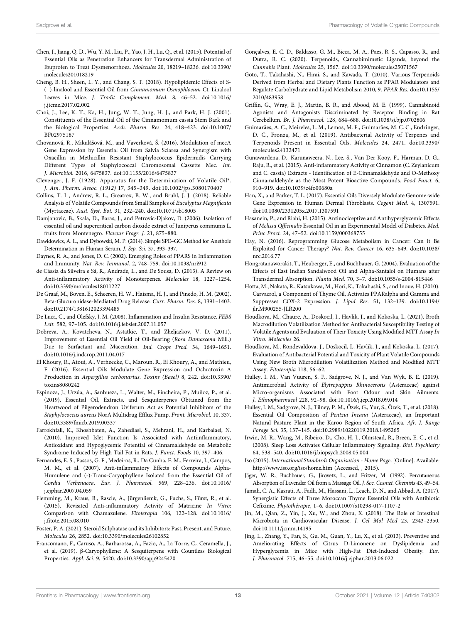- <span id="page-12-22"></span>Chen, J., Jiang, Q. D., Wu, Y. M., Liu, P., Yao, J. H., Lu, Q., et al. (2015). Potential of Essential Oils as Penetration Enhancers for Transdermal Administration of Ibuprofen to Treat Dysmenorrhoea. Molecules 20, 18219–18236. doi:[10.3390/](https://doi.org/10.3390/molecules201018219) [molecules201018219](https://doi.org/10.3390/molecules201018219)
- <span id="page-12-24"></span>Cheng, B. H., Sheen, L. Y., and Chang, S. T. (2018). Hypolipidemic Effects of S- (+)-linalool and Essential Oil from Cinnamomum Osmophloeum Ct. Linalool Leaves in Mice. J. Tradit Complement. Med. 8, 46–52. doi:[10.1016/](https://doi.org/10.1016/j.jtcme.2017.02.002) [j.jtcme.2017.02.002](https://doi.org/10.1016/j.jtcme.2017.02.002)
- <span id="page-12-16"></span>Choi, J., Lee, K. T., Ka, H., Jung, W. T., Jung, H. J., and Park, H. J. (2001). Constituents of the Essential Oil of the Cinnamomum cassia Stem Bark and the Biological Properties. Arch. Pharm. Res. 24, 418–423. doi:[10.1007/](https://doi.org/10.1007/BF02975187) [BF02975187](https://doi.org/10.1007/BF02975187)
- <span id="page-12-19"></span>Chovanová, R., Mikulášová, M., and Vaverková, Š. (2016). Modulation of mecA Gene Expression by Essential Oil from Salvia Sclarea and Synergism with Oxacillin in Methicillin Resistant Staphylococcus Epidermidis Carrying Different Types of Staphylococcal Chromosomal Cassette Mec. Int. J. Microbiol. 2016, 6475837. doi[:10.1155/2016/6475837](https://doi.org/10.1155/2016/6475837)
- <span id="page-12-10"></span>Clevenger, J. F. (1928). Apparatus for the Determination of Volatile Oil\*. J. Am. Pharm. Assoc. (1912) 17, 345–349. doi[:10.1002/jps.3080170407](https://doi.org/10.1002/jps.3080170407)
- <span id="page-12-8"></span>Collins, T. L., Andrew, R. L., Greatrex, B. W., and Bruhl, J. J. (2018). Reliable Analysis of Volatile Compounds from Small Samples of Eucalyptus Magnificata (Myrtaceae). Aust. Syst. Bot. 31, 232–240. doi[:10.1071/sb18005](https://doi.org/10.1071/sb18005)
- <span id="page-12-3"></span>Damjanovic, B., Skala, D., Baras, J., and Petrovic-Djakov, D. (2006). Isolation of essential oil and supercritical carbon dioxide extract of Juniperus communis L. fruits from Montenegro. Flavour Fragr. J. 21, 875–880.
- <span id="page-12-15"></span>Dawidowics, A. L., and Dybowski, M. P. (2014). Simple SPE–GC Method for Anethole Determination in Human Serum. J. Sep. Sci. 37, 393–397.
- <span id="page-12-34"></span>Daynes, R. A., and Jones, D. C. (2002). Emerging Roles of PPARS in Inflammation and Immunity. Nat. Rev. Immunol. 2, 748–759. doi:[10.1038/nri912](https://doi.org/10.1038/nri912)
- <span id="page-12-17"></span>de Cássia da Silveira e Sá, R., Andrade, L., and De Sousa, D. (2013). A Review on Anti-inflammatory Activity of Monoterpenes. Molecules 18, 1227–1254. doi:[10.3390/molecules18011227](https://doi.org/10.3390/molecules18011227)
- <span id="page-12-38"></span>De Graaf, M., Boven, E., Scheeren, H. W., Haisma, H. J., and Pinedo, H. M. (2002). Beta-Glucuronidase-Mediated Drug Release. Curr. Pharm. Des. 8, 1391–1403. doi:[10.2174/1381612023394485](https://doi.org/10.2174/1381612023394485)
- <span id="page-12-31"></span>De Luca, C., and Olefsky, J. M. (2008). Inflammation and Insulin Resistance. FEBS Lett. 582, 97–105. doi:[10.1016/j.febslet.2007.11.057](https://doi.org/10.1016/j.febslet.2007.11.057)
- <span id="page-12-9"></span>Dobreva, A., Kovatcheva, N., Astatkie, T., and Zheljazkov, V. D. (2011). Improvement of Essential Oil Yield of Oil-Bearing (Rosa Damascena Mill.) Due to Surfactant and Maceration. Ind. Crops Prod. 34, 1649–1651. doi:[10.1016/j.indcrop.2011.04.017](https://doi.org/10.1016/j.indcrop.2011.04.017)
- <span id="page-12-20"></span>El Khoury, R., Atoui, A., Verheecke, C., Maroun, R., El Khoury, A., and Mathieu, F. (2016). Essential Oils Modulate Gene Expression and Ochratoxin A Production in Aspergillus carbonarius. Toxins (Basel) 8, 242. doi:[10.3390/](https://doi.org/10.3390/toxins8080242) [toxins8080242](https://doi.org/10.3390/toxins8080242)
- <span id="page-12-21"></span>Espinoza, J., Urzúa, A., Sanhueza, L., Walter, M., Fincheira, P., Muñoz, P., et al. (2019). Essential Oil, Extracts, and Sesquiterpenes Obtained from the Heartwood of Pilgerodendron Uviferum Act as Potential Inhibitors of the Staphylococcus aureus NorA Multidrug Efflux Pump. Front. Microbiol. 10, 337. doi:[10.3389/fmicb.2019.00337](https://doi.org/10.3389/fmicb.2019.00337)
- <span id="page-12-33"></span>Farrokhfall, K., Khoshbaten, A., Zahediasl, S., Mehrani, H., and Karbalaei, N. (2010). Improved Islet Function Is Associated with Antiinflammatory, Antioxidant and Hypoglycemic Potential of Cinnamaldehyde on Metabolic Syndrome Induced by High Tail Fat in Rats. J. Funct. Foods 10, 397–406.
- <span id="page-12-0"></span>Fernandes, E. S., Passos, G. F., Medeiros, R., Da Cunha, F. M., Ferreira, J., Campos, M. M., et al. (2007). Anti-inflammatory Effects of Compounds Alpha-Humulene and (-)-Trans-Caryophyllene Isolated from the Essential Oil of Cordia Verbenacea. Eur. J. Pharmacol. 569, 228–236. doi:[10.1016/](https://doi.org/10.1016/j.ejphar.2007.04.059) [j.ejphar.2007.04.059](https://doi.org/10.1016/j.ejphar.2007.04.059)
- <span id="page-12-28"></span>Flemming, M., Kraus, B., Rascle, A., Jürgenliemk, G., Fuchs, S., Fürst, R., et al. (2015). Revisited Anti-inflammatory Activity of Matricine In Vitro: Comparison with Chamazulene. Fitoterapia 106, 122–128. doi:[10.1016/](https://doi.org/10.1016/j.fitote.2015.08.010) j.fi[tote.2015.08.010](https://doi.org/10.1016/j.fitote.2015.08.010)
- <span id="page-12-37"></span>Foster, P. A. (2021). Steroid Sulphatase and its Inhibitors: Past, Present, and Future. Molecules 26, 2852. doi:[10.3390/molecules26102852](https://doi.org/10.3390/molecules26102852)
- <span id="page-12-27"></span>Francomano, F., Caruso, A., Barbarossa, A., Fazio, A., La Torre, C., Ceramella, J., et al. (2019). β-Caryophyllene: A Sesquiterpene with Countless Biological Properties. Appl. Sci. 9, 5420. doi:[10.3390/app9245420](https://doi.org/10.3390/app9245420)
- <span id="page-12-26"></span>Gonçalves, E. C. D., Baldasso, G. M., Bicca, M. A., Paes, R. S., Capasso, R., and Dutra, R. C. (2020). Terpenoids, Cannabimimetic Ligands, beyond the Cannabis Plant. Molecules 25, 1567. doi:[10.3390/molecules25071567](https://doi.org/10.3390/molecules25071567)
- <span id="page-12-2"></span>Goto, T., Takahashi, N., Hirai, S., and Kawada, T. (2010). Various Terpenoids Derived from Herbal and Dietary Plants Function as PPAR Modulators and Regulate Carbohydrate and Lipid Metabolism 2010, 9. PPAR Res. doi[:10.1155/](https://doi.org/10.1155/2010/483958) [2010/483958](https://doi.org/10.1155/2010/483958)
- <span id="page-12-13"></span>Griffin, G., Wray, E. J., Martin, B. R., and Abood, M. E. (1999). Cannabinoid Agonists and Antagonists Discriminated by Receptor Binding in Rat Cerebellum. Br. J. Pharmacol. 128, 684–688. doi[:10.1038/sj.bjp.0702806](https://doi.org/10.1038/sj.bjp.0702806)
- <span id="page-12-4"></span>Guimarães, A. C., Meireles, L. M., Lemos, M. F., Guimarães, M. C. C., Endringer, D. C., Fronza, M., et al. (2019). Antibacterial Activity of Terpenes and Terpenoids Present in Essential Oils. Molecules 24, 2471. doi:[10.3390/](https://doi.org/10.3390/molecules24132471) [molecules24132471](https://doi.org/10.3390/molecules24132471)
- <span id="page-12-32"></span>Gunawardena, D., Karunaweera, N., Lee, S., Van Der Kooy, F., Harman, D. G., Raju, R., et al. (2015). Anti-inflammatory Activity of Cinnamon (C. Zeylanicum and C. cassia) Extracts - Identification of E-Cinnamaldehyde and O-Methoxy Cinnamaldehyde as the Most Potent Bioactive Compounds. Food Funct. 6, 910–919. doi:[10.1039/c4fo00680a](https://doi.org/10.1039/c4fo00680a)
- <span id="page-12-23"></span>Han, X., and Parker, T. L. (2017). Essential Oils Diversely Modulate Genome-wide Gene Expression in Human Dermal Fibroblasts. Cogent Med. 4, 1307591. doi[:10.1080/2331205x.2017.1307591](https://doi.org/10.1080/2331205x.2017.1307591)
- <span id="page-12-30"></span>Hasanein, P., and Riahi, H. (2015). Antinociceptive and Antihyperglycemic Effects of Melissa Officinalis Essential Oil in an Experimental Model of Diabetes. Med. Princ Pract. 24, 47–52. doi:[10.1159/000368755](https://doi.org/10.1159/000368755)
- <span id="page-12-39"></span>Hay, N. (2016). Reprogramming Glucose Metabolism in Cancer: Can it Be Exploited for Cancer Therapy? Nat. Rev. Cancer 16, 635–649. doi[:10.1038/](https://doi.org/10.1038/nrc.2016.77) [nrc.2016.77](https://doi.org/10.1038/nrc.2016.77)
- <span id="page-12-12"></span>Hongratanaworakit, T., Heuberger, E., and Buchbauer, G. (2004). Evaluation of the Effects of East Indian Sandalwood Oil and Alpha-Santalol on Humans after Transdermal Absorption. Planta Med. 70, 3–7. doi[:10.1055/s-2004-815446](https://doi.org/10.1055/s-2004-815446)
- <span id="page-12-25"></span>Hotta, M., Nakata, R., Katsukawa, M., Hori, K., Takahashi, S., and Inoue, H. (2010). Carvacrol, a Component of Thyme Oil, Activates PPARalpha and Gamma and Suppresses COX-2 Expression. J. Lipid Res. 51, 132–139. doi[:10.1194/](https://doi.org/10.1194/jlr.M900255-JLR200) [jlr.M900255-JLR200](https://doi.org/10.1194/jlr.M900255-JLR200)
- <span id="page-12-6"></span>Houdkova, M., Chaure, A., Doskocil, I., Havlik, J., and Kokoska, L. (2021). Broth Macrodilution Volatilization Method for Antibacterial Susceptibility Testing of Volatile Agents and Evaluation of Their Toxicity Using Modified MTT Assay In Vitro. Molecules 26.
- <span id="page-12-5"></span>Houdkova, M., Rondevaldova, J., Doskocil, I., Havlik, J., and Kokoska, L. (2017). Evaluation of Antibacterial Potential and Toxicity of Plant Volatile Compounds Using New Broth Microdilution Volatilization Method and Modified MTT Assay. Fitoterapia 118, 56–62.
- <span id="page-12-1"></span>Hulley, I. M., Van Vuuren, S. F., Sadgrove, N. J., and Van Wyk, B. E. (2019). Antimicrobial Activity of Elytropappus Rhinocerotis (Asteraceae) against Micro-organisms Associated with Foot Odour and Skin Ailments. J. Ethnopharmacol 228, 92–98. doi:[10.1016/j.jep.2018.09.014](https://doi.org/10.1016/j.jep.2018.09.014)
- <span id="page-12-14"></span>Hulley, I. M., Sadgrove, N. J., Tilney, P. M., Özek, G., Yur, S., Özek, T., et al. (2018). Essential Oil Composition of Pentzia Incana (Asteraceae), an Important Natural Pasture Plant in the Karoo Region of South Africa. Afr. J. Range Forage Sci. 35, 137–145. doi:[10.2989/10220119.2018.1495265](https://doi.org/10.2989/10220119.2018.1495265)
- <span id="page-12-29"></span>Irwin, M. R., Wang, M., Ribeiro, D., Cho, H. J., Olmstead, R., Breen, E. C., et al. (2008). Sleep Loss Activates Cellular Inflammatory Signaling. Biol. Psychiatry 64, 538–540. doi[:10.1016/j.biopsych.2008.05.004](https://doi.org/10.1016/j.biopsych.2008.05.004)
- <span id="page-12-7"></span>Iso (2015). International Standards Organisation - Home Page. [Online]. Available: <http://www.iso.org/iso/home.htm> (Accessed, , 2015).
- <span id="page-12-11"></span>Jäger, W. R., Buchbauer, G., Jirovetz, L., and Fritzer, M. (1992). Percutaneous Absorption of Lavender Oil from a Massage Oil. J. Soc. Cosmet. Chemists 43, 49–54.
- <span id="page-12-18"></span>Jamali, C. A., Kasrati, A., Fadli, M., Hassani, L., Leach, D. N., and Abbad, A. (2017). Synergistic Effects of Three Moroccan Thyme Essential Oils with Antibiotic Cefixime. Phytothérapie, 1–6. doi[:10.1007/s10298-017-1107-2](https://doi.org/10.1007/s10298-017-1107-2)
- <span id="page-12-36"></span>Jin, M., Qian, Z., Yin, J., Xu, W., and Zhou, X. (2018). The Role of Intestinal Microbiota in Cardiovascular Disease. J. Cel Mol Med 23, 2343–2350. doi[:10.1111/jcmm.14195](https://doi.org/10.1111/jcmm.14195)
- <span id="page-12-35"></span>Jing, L., Zhang, Y., Fan, S., Gu, M., Guan, Y., Lu, X., et al. (2013). Preventive and Ameliorating Effects of Citrus D-Limonene on Dyslipidemia and Hyperglycemia in Mice with High-Fat Diet-Induced Obesity. Eur. J. Pharmacol. 715, 46–55. doi[:10.1016/j.ejphar.2013.06.022](https://doi.org/10.1016/j.ejphar.2013.06.022)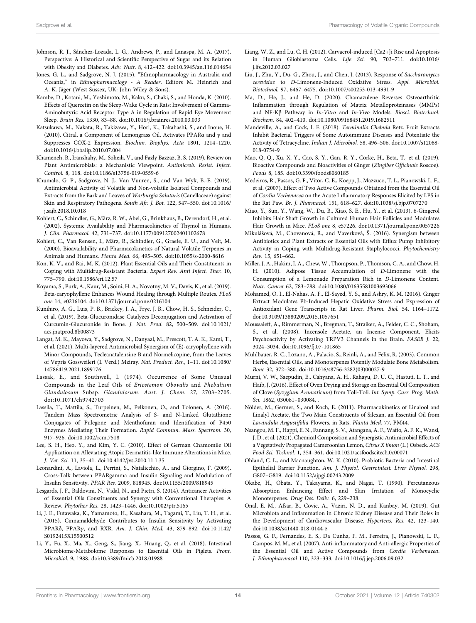- <span id="page-13-29"></span>Johnson, R. J., Sánchez-Lozada, L. G., Andrews, P., and Lanaspa, M. A. (2017). Perspective: A Historical and Scientific Perspective of Sugar and its Relation with Obesity and Diabetes. Adv. Nutr. 8, 412–422. doi:[10.3945/an.116.014654](https://doi.org/10.3945/an.116.014654)
- <span id="page-13-5"></span>Jones, G. L., and Sadgrove, N. J. (2015). "Ethnopharmacology in Australia and Oceania," in Ethnopharmacology - A Reader. Editors M. Heinrich and A. K. Jäger (West Sussex, UK: John Wiley & Sons).
- <span id="page-13-25"></span>Kambe, D., Kotani, M., Yoshimoto, M., Kaku, S., Chaki, S., and Honda, K. (2010). Effects of Quercetin on the Sleep-Wake Cycle in Rats: Involvement of Gamma-Aminobutyric Acid Receptor Type A in Regulation of Rapid Eye Movement Sleep. Brain Res. 1330, 83–88. doi[:10.1016/j.brainres.2010.03.033](https://doi.org/10.1016/j.brainres.2010.03.033)
- <span id="page-13-30"></span>Katsukawa, M., Nakata, R., Takizawa, Y., Hori, K., Takahashi, S., and Inoue, H. (2010). Citral, a Component of Lemongrass Oil, Activates PPARα and γ and Suppresses COX-2 Expression. Biochim. Biophys. Acta 1801, 1214–1220. doi:[10.1016/j.bbalip.2010.07.004](https://doi.org/10.1016/j.bbalip.2010.07.004)
- <span id="page-13-19"></span>Khameneh, B., Iranshahy, M., Soheili, V., and Fazly Bazzaz, B. S. (2019). Review on Plant Antimicrobials: a Mechanistic Viewpoint. Antimicrob. Resist. Infect. Control. 8, 118. doi:[10.1186/s13756-019-0559-6](https://doi.org/10.1186/s13756-019-0559-6)
- <span id="page-13-1"></span>Khumalo, G. P., Sadgrove, N. J., Van Vuuren, S., and Van Wyk, B.-E. (2019). Antimicrobial Activity of Volatile and Non-volatile Isolated Compounds and Extracts from the Bark and Leaves of Warburgia Salutaris (Canellaceae) against Skin and Respiratory Pathogens. South Afr. J. Bot. 122, 547–550. doi:[10.1016/](https://doi.org/10.1016/j.sajb.2018.10.018) [j.sajb.2018.10.018](https://doi.org/10.1016/j.sajb.2018.10.018)
- <span id="page-13-16"></span>Kohlert, C., Schindler, G., März, R. W., Abel, G., Brinkhaus, B., Derendorf, H., et al. (2002). Systemic Availability and Pharmacokinetics of Thymol in Humans. J. Clin. Pharmacol. 42, 731–737. doi:[10.1177/009127002401102678](https://doi.org/10.1177/009127002401102678)
- <span id="page-13-14"></span>Kohlert, C., Van Rensen, I., März, R., Schindler, G., Graefe, E. U., and Veit, M. (2000). Bioavailability and Pharmacokinetics of Natural Volatile Terpenes in Animals and Humans. Planta Med. 66, 495–505. doi:[10.1055/s-2000-8616](https://doi.org/10.1055/s-2000-8616)
- <span id="page-13-18"></span>Kon, K. V., and Rai, M. K. (2012). Plant Essential Oils and Their Constituents in Coping with Multidrug-Resistant Bacteria. Expert Rev. Anti Infect. Ther. 10, 775–790. doi:[10.1586/eri.12.57](https://doi.org/10.1586/eri.12.57)
- <span id="page-13-21"></span>Koyama, S., Purk, A., Kaur, M., Soini, H. A., Novotny, M. V., Davis, K., et al. (2019). Beta-caryophyllene Enhances Wound Healing through Multiple Routes. PLoS one 14, e0216104. doi[:10.1371/journal.pone.0216104](https://doi.org/10.1371/journal.pone.0216104)
- <span id="page-13-35"></span>Kunihiro, A. G., Luis, P. B., Brickey, J. A., Frye, J. B., Chow, H. S., Schneider, C., et al. (2019). Beta-Glucuronidase Catalyzes Deconjugation and Activation of Curcumin-Glucuronide in Bone. J. Nat. Prod. 82, 500–509. doi:[10.1021/](https://doi.org/10.1021/acs.jnatprod.8b00873) [acs.jnatprod.8b00873](https://doi.org/10.1021/acs.jnatprod.8b00873)
- <span id="page-13-3"></span>Langat, M. K., Mayowa, Y., Sadgrove, N., Danyaal, M., Prescott, T. A. K., Kami, T., et al. (2021). Multi-layered Antimicrobial Synergism of (E)-caryophyllene with Minor Compounds, Tecleanatalensine B and Normelicopine, from the Leaves of Vepris Gossweileri (I. Verd.) Mziray. Nat. Product. Res., 1–11. doi:[10.1080/](https://doi.org/10.1080/14786419.2021.1899176) [14786419.2021.1899176](https://doi.org/10.1080/14786419.2021.1899176)
- <span id="page-13-8"></span>Lassak, E., and Southwell, I. (1974). Occurrence of Some Unusual Compounds in the Leaf Oils of Eriostemon Obovalis and Phebalium Glandulosum Subsp. Glandulosum. Aust. J. Chem. 27, 2703–2705. doi:[10.1071/ch9742703](https://doi.org/10.1071/ch9742703)
- <span id="page-13-15"></span>Lassila, T., Mattila, S., Turpeinen, M., Pelkonen, O., and Tolonen, A. (2016). Tandem Mass Spectrometric Analysis of S- and N-Linked Glutathione Conjugates of Pulegone and Menthofuran and Identification of P450 Enzymes Mediating Their Formation. Rapid Commun. Mass. Spectrom. 30, 917–926. doi:[10.1002/rcm.7518](https://doi.org/10.1002/rcm.7518)
- <span id="page-13-26"></span>Lee, S. H., Heo, Y., and Kim, Y. C. (2010). Effect of German Chamomile Oil Application on Alleviating Atopic Dermatitis-like Immune Alterations in Mice. J. Vet. Sci. 11, 35–41. doi:[10.4142/jvs.2010.11.1.35](https://doi.org/10.4142/jvs.2010.11.1.35)
- <span id="page-13-32"></span>Leonardini, A., Laviola, L., Perrini, S., Natalicchio, A., and Giorgino, F. (2009). Cross-Talk between PPARgamma and Insulin Signaling and Modulation of Insulin Sensitivity. PPAR Res. 2009, 818945. doi[:10.1155/2009/818945](https://doi.org/10.1155/2009/818945)
- <span id="page-13-37"></span>Lesgards, J. F., Baldovini, N., Vidal, N., and Pietri, S. (2014). Anticancer Activities of Essential Oils Constituents and Synergy with Conventional Therapies: A Review. Phytother Res. 28, 1423–1446. doi[:10.1002/ptr.5165](https://doi.org/10.1002/ptr.5165)
- <span id="page-13-31"></span>Li, J. E., Futawaka, K., Yamamoto, H., Kasahara, M., Tagami, T., Liu, T. H., et al. (2015). Cinnamaldehyde Contributes to Insulin Sensitivity by Activating PPARδ, PPARγ, and RXR. Am. J. Chin. Med. 43, 879–892. doi:[10.1142/](https://doi.org/10.1142/S0192415X15500512) [S0192415X15500512](https://doi.org/10.1142/S0192415X15500512)
- <span id="page-13-6"></span>Li, Y., Fu, X., Ma, X., Geng, S., Jiang, X., Huang, Q., et al. (2018). Intestinal Microbiome-Metabolome Responses to Essential Oils in Piglets. Front. Microbiol. 9, 1988. doi[:10.3389/fmicb.2018.01988](https://doi.org/10.3389/fmicb.2018.01988)
- <span id="page-13-13"></span>Liang, W. Z., and Lu, C. H. (2012). Carvacrol-induced [Ca2+]i Rise and Apoptosis in Human Glioblastoma Cells. Life Sci. 90, 703–711. doi[:10.1016/](https://doi.org/10.1016/j.lfs.2012.03.027) [j.lfs.2012.03.027](https://doi.org/10.1016/j.lfs.2012.03.027)
- <span id="page-13-27"></span>Liu, J., Zhu, Y., Du, G., Zhou, J., and Chen, J. (2013). Response of Saccharomyces cerevisiae to D-Limonene-Induced Oxidative Stress. Appl. Microbiol. Biotechnol. 97, 6467–6475. doi[:10.1007/s00253-013-4931-9](https://doi.org/10.1007/s00253-013-4931-9)
- <span id="page-13-24"></span>Ma, D., He, J., and He, D. (2020). Chamazulene Reverses Osteoarthritic Inflammation through Regulation of Matrix Metalloproteinases (MMPs) and NF-Kβ Pathway in In-Vitro and In-Vivo Models. Biosci. Biotechnol. Biochem. 84, 402–410. doi:[10.1080/09168451.2019.1682511](https://doi.org/10.1080/09168451.2019.1682511)
- <span id="page-13-17"></span>Mandeville, A., and Cock, I. E. (2018). Terminalia Chebula Retz. Fruit Extracts Inhibit Bacterial Triggers of Some Autoimmune Diseases and Potentiate the Activity of Tetracycline. Indian J. Microbiol. 58, 496–506. doi[:10.1007/s12088-](https://doi.org/10.1007/s12088-018-0754-9) [018-0754-9](https://doi.org/10.1007/s12088-018-0754-9)
- <span id="page-13-22"></span>Mao, Q. Q., Xu, X. Y., Cao, S. Y., Gan, R. Y., Corke, H., Beta, T., et al. (2019). Bioactive Compounds and Bioactivities of Ginger (Zingiber Officinale Roscoe). Foods 8, 185. doi:[10.3390/foods8060185](https://doi.org/10.3390/foods8060185)
- <span id="page-13-0"></span>Medeiros, R., Passos, G. F., Vitor, C. E., Koepp, J., Mazzuco, T. L., Pianowski, L. F., et al. (2007). Effect of Two Active Compounds Obtained from the Essential Oil of Cordia Verbenacea on the Acute Inflammatory Responses Elicited by LPS in the Rat Paw. Br. J. Pharmacol. 151, 618–627. doi:[10.1038/sj.bjp.0707270](https://doi.org/10.1038/sj.bjp.0707270)
- <span id="page-13-23"></span>Miao, Y., Sun, Y., Wang, W., Du, B., Xiao, S. E., Hu, Y., et al. (2013). 6-Gingerol Inhibits Hair Shaft Growth in Cultured Human Hair Follicles and Modulates Hair Growth in Mice. PLoS one 8, e57226. doi:[10.1371/journal.pone.0057226](https://doi.org/10.1371/journal.pone.0057226)
- <span id="page-13-2"></span>Mikulášová, M., Chovanová, R., and Vaverková, Š. (2016). Synergism between Antibiotics and Plant Extracts or Essential Oils with Efflux Pump Inhibitory Activity in Coping with Multidrug-Resistant Staphylococci. Phytochemistry Rev. 15, 651–662.
- <span id="page-13-11"></span>Miller, J. A., Hakim, I. A., Chew, W., Thompson, P., Thomson, C. A., and Chow, H. H. (2010). Adipose Tissue Accumulation of D-Limonene with the Consumption of a Lemonade Preparation Rich in D-Limonene Content. Nutr. Cancer 62, 783–788. doi:[10.1080/01635581003693066](https://doi.org/10.1080/01635581003693066)
- <span id="page-13-28"></span>Mohamed, O. I., El-Nahas, A. F., El-Sayed, Y. S., and Ashry, K. M. (2016). Ginger Extract Modulates Pb-Induced Hepatic Oxidative Stress and Expression of Antioxidant Gene Transcripts in Rat Liver. Pharm. Biol. 54, 1164–1172. doi[:10.3109/13880209.2015.1057651](https://doi.org/10.3109/13880209.2015.1057651)
- <span id="page-13-10"></span>Moussaieff, A., Rimmerman, N., Bregman, T., Straiker, A., Felder, C. C., Shoham, S., et al. (2008). Incensole Acetate, an Incense Component, Elicits Psychoactivity by Activating TRPV3 Channels in the Brain. FASEB J. 22, 3024–3034. doi:[10.1096/fj.07-101865](https://doi.org/10.1096/fj.07-101865)
- <span id="page-13-36"></span>Mühlbauer, R. C., Lozano, A., Palacio, S., Reinli, A., and Felix, R. (2003). Common Herbs, Essential Oils, and Monoterpenes Potently Modulate Bone Metabolism. Bone 32, 372–380. doi[:10.1016/s8756-3282\(03\)00027-9](https://doi.org/10.1016/s8756-3282(03)00027-9)
- <span id="page-13-7"></span>Murni, V. W., Saepudin, E., Cahyana, A. H., Rahayu, D. U. C., Hastuti, L. T., and Haib, J. (2016). Effect of Oven Drying and Storage on Essential Oil Composition of Clove (Syzygium Aromaticum) from Toli-Toli. Int. Symp. Curr. Prog. Math. Sci. 1862, 030081–030084, .
- <span id="page-13-12"></span>Nölder, M., Germer, S., and Koch, E. (2011). Pharmacokinetics of Linalool and Linalyl Acetate, the Two Main Constituents of Silexan, an Essential Oil from Lavandula Angustifolia Flowers, in Rats. Planta Med. 77, PM44.
- <span id="page-13-4"></span>Nsangou, M. F., Happi, E. N., Fannang, S. V., Atangana, A. F., Waffo, A. F. K., Wansi, J. D., et al. (2021). Chemical Composition and Synergistic Antimicrobial Effects of a Vegetatively Propagated Cameroonian Lemon, Citrus X limon (L.) Osbeck. ACS Food Sci. Technol. 1, 354–361. doi:[10.1021/acsfoodscitech.0c00071](https://doi.org/10.1021/acsfoodscitech.0c00071)
- <span id="page-13-34"></span>Ohland, C. L., and Macnaughton, W. K. (2010). Probiotic Bacteria and Intestinal Epithelial Barrier Function. Am. J. Physiol. Gastrointest. Liver Physiol. 298, G807–G819. doi[:10.1152/ajpgi.00243.2009](https://doi.org/10.1152/ajpgi.00243.2009)
- <span id="page-13-9"></span>Okabe, H., Obata, Y., Takayama, K., and Nagai, T. (1990). Percutaneous Absorption Enhancing Effect and Skin Irritation of Monocyclic Monoterpenes. Drug Des. Deliv. 6, 229–238.
- <span id="page-13-33"></span>Onal, E. M., Afsar, B., Covic, A., Vaziri, N. D., and Kanbay, M. (2019). Gut Microbiota and Inflammation in Chronic Kidney Disease and Their Roles in the Development of Cardiovascular Disease. Hypertens. Res. 42, 123–140. doi[:10.1038/s41440-018-0144-z](https://doi.org/10.1038/s41440-018-0144-z)
- <span id="page-13-20"></span>Passos, G. F., Fernandes, E. S., Da Cunha, F. M., Ferreira, J., Pianowski, L. F., Campos, M. M., et al. (2007). Anti-inflammatory and Anti-allergic Properties of the Essential Oil and Active Compounds from Cordia Verbenacea. J. Ethnopharmacol 110, 323–333. doi:[10.1016/j.jep.2006.09.032](https://doi.org/10.1016/j.jep.2006.09.032)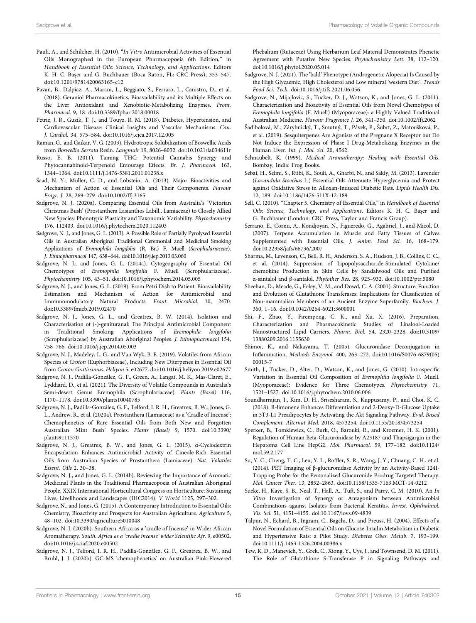- <span id="page-14-18"></span>Pauli, A., and Schilcher, H. (2010). "In Vitro Antimicrobial Activities of Essential Oils Monographed in the European Pharmacopoeia 6th Edition," in Handbook of Essential Oils: Science, Technology, and Applications. Editors K. H. C. Bașer and G. Buchbauer (Boca Raton, FL: CRC Press), 353–547. doi:[10.1201/9781420063165-c12](https://doi.org/10.1201/9781420063165-c12)
- <span id="page-14-25"></span>Pavan, B., Dalpiaz, A., Marani, L., Beggiato, S., Ferraro, L., Canistro, D., et al. (2018). Geraniol Pharmacokinetics, Bioavailability and its Multiple Effects on the Liver Antioxidant and Xenobiotic-Metabolizing Enzymes. Front. Pharmacol. 9, 18. doi:[10.3389/fphar.2018.00018](https://doi.org/10.3389/fphar.2018.00018)
- <span id="page-14-33"></span>Petrie, J. R., Guzik, T. J., and Touyz, R. M. (2018). Diabetes, Hypertension, and Cardiovascular Disease: Clinical Insights and Vascular Mechanisms. Can. J. Cardiol. 34, 575–584. doi[:10.1016/j.cjca.2017.12.005](https://doi.org/10.1016/j.cjca.2017.12.005)
- <span id="page-14-16"></span>Raman, G., and Gaikar, V. G. (2003). Hydrotropic Solubilization of Boswellic Acids from Boswellia Serrata Resin. Langmuir 19, 8026–8032. doi[:10.1021/la034611r](https://doi.org/10.1021/la034611r)
- <span id="page-14-28"></span>Russo, E. B. (2011). Taming THC: Potential Cannabis Synergy and Phytocannabinoid-Terpenoid Entourage Effects. Br. J. Pharmacol. 163, 1344–1364. doi[:10.1111/j.1476-5381.2011.01238.x](https://doi.org/10.1111/j.1476-5381.2011.01238.x)
- <span id="page-14-32"></span>Saad, N. Y., Muller, C. D., and Lobstein, A. (2013). Major Bioactivities and Mechanism of Action of Essential Oils and Their Components. Flavour Fragr. J. 28, 269–279. doi[:10.1002/ffj.3165](https://doi.org/10.1002/ffj.3165)
- <span id="page-14-6"></span>Sadgrove, N. J. (2020a). Comparing Essential Oils from Australia's 'Victorian Christmas Bush' (Prostanthera Lasianthos Labill., Lamiaceae) to Closely Allied New Species: Phenotypic Plasticity and Taxonomic Variability. Phytochemistry 176, 112403. doi[:10.1016/j.phytochem.2020.112403](https://doi.org/10.1016/j.phytochem.2020.112403)
- <span id="page-14-3"></span>Sadgrove, N. J., and Jones, G. L. (2013). A Possible Role of Partially Pyrolysed Essential Oils in Australian Aboriginal Traditional Ceremonial and Medicinal Smoking Applications of Eremophila longifolia (R. Br.) F. Muell (Scrophulariaceae). J. Ethnopharmacol 147, 638–644. doi:[10.1016/j.jep.2013.03.060](https://doi.org/10.1016/j.jep.2013.03.060)
- <span id="page-14-11"></span>Sadgrove, N. J., and Jones, G. L. (2014a). Cytogeography of Essential Oil Chemotypes of Eremophila longifolia F. Muell (Scrophulariaceae). Phytochemistry 105, 43–51. doi[:10.1016/j.phytochem.2014.05.005](https://doi.org/10.1016/j.phytochem.2014.05.005)
- <span id="page-14-9"></span>Sadgrove, N. J., and Jones, G. L. (2019). From Petri Dish to Patient: Bioavailability Estimation and Mechanism of Action for Antimicrobial and Immunomodulatory Natural Products. Front. Microbiol. 10, 2470. doi:[10.3389/fmicb.2019.02470](https://doi.org/10.3389/fmicb.2019.02470)
- <span id="page-14-4"></span>Sadgrove, N. J., Jones, G. L., and Greatrex, B. W. (2014). Isolation and Characterisation of (-)-genifuranal: The Principal Antimicrobial Component in Traditional Smoking Applications of Eremophila longifolia (Scrophulariaceae) by Australian Aboriginal Peoples. J. Ethnopharmacol 154, 758–766. doi:[10.1016/j.jep.2014.05.003](https://doi.org/10.1016/j.jep.2014.05.003)
- <span id="page-14-17"></span>Sadgrove, N. J., Madeley, L. G., and Van Wyk, B. E. (2019). Volatiles from African Species of Croton (Euphorbiaceae), Including New Diterpenes in Essential Oil from Croton Gratissimus. Heliyon 5, e02677. doi[:10.1016/j.heliyon.2019.e02677](https://doi.org/10.1016/j.heliyon.2019.e02677)
- <span id="page-14-13"></span>Sadgrove, N. J., Padilla-González, G. F., Green, A., Langat, M. K., Mas-Claret, E., Lyddiard, D., et al. (2021). The Diversity of Volatile Compounds in Australia's Semi-desert Genus Eremophila (Scrophulariaceae). Plants (Basel) 116, 1170–1178. doi[:10.3390/plants10040785](https://doi.org/10.3390/plants10040785)
- <span id="page-14-12"></span>Sadgrove, N. J., Padilla-González, G. F., Telford, I. R. H., Greatrex, B. W., Jones, G. L., Andrew, R., et al. (2020a). Prostanthera (Lamiaceae) as a 'Cradle of Incense': Chemophenetics of Rare Essential Oils from Both New and Forgotten Australian 'Mint Bush' Species. Plants (Basel) 9, 1570. doi:[10.3390/](https://doi.org/10.3390/plants9111570) [plants9111570](https://doi.org/10.3390/plants9111570)
- <span id="page-14-15"></span>Sadgrove, N. J., Greatrex, B. W., and Jones, G. L. (2015). α-Cyclodextrin Encapsulation Enhances Antimicrobial Activity of Cineole-Rich Essential Oils from Australian Species of Prostanthera (Lamiaceae). Nat. Volatiles Essent. OIls 2, 30–38.
- <span id="page-14-2"></span>Sadgrove, N. J., and Jones, G. L. (2014b). Reviewing the Importance of Aromatic Medicinal Plants in the Traditional Pharmacopoeia of Australian Aboriginal People. XXIX International Horticultural Congress on Horticulture: Sustaining Lives, Livelihoods and Landscapes (IHC2014). V World 1125, 297–302.
- <span id="page-14-8"></span>Sadgrove, N., and Jones, G. (2015). A Contemporary Introduction to Essential Oils: Chemistry, Bioactivity and Prospects for Australian Agriculture. Agriculture 5, 48–102. doi[:10.3390/agriculture5010048](https://doi.org/10.3390/agriculture5010048)
- <span id="page-14-0"></span>Sadgrove, N. J. (2020b). Southern Africa as a 'cradle of Incense' in Wider African Aromatherapy. South. Africa as a 'cradle incense' wider Scientific Afr. 9, e00502. doi:[10.1016/j.sciaf.2020.e00502](https://doi.org/10.1016/j.sciaf.2020.e00502)
- <span id="page-14-7"></span>Sadgrove, N. J., Telford, I. R. H., Padilla-González, G. F., Greatrex, B. W., and Bruhl, J. J. (2020b). GC-MS 'chemophenetics' on Australian Pink-Flowered

Phebalium (Rutaceae) Using Herbarium Leaf Material Demonstrates Phenetic Agreement with Putative New Species. Phytochemistry Lett. 38, 112–120. doi[:10.1016/j.phytol.2020.05.014](https://doi.org/10.1016/j.phytol.2020.05.014)

- <span id="page-14-30"></span>Sadgrove, N. J. (2021). The 'bald' Phenotype (Androgenetic Alopecia) Is Caused by the High Glycaemic, High Cholesterol and Low mineral 'western Diet'. Trends Food Sci. Tech. doi[:10.1016/j.tifs.2021.06.056](https://doi.org/10.1016/j.tifs.2021.06.056)
- <span id="page-14-1"></span>Sadgrove, N., Mijajlovic, S., Tucker, D. J., Watson, K., and Jones, G. L. (2011). Characterization and Bioactivity of Essential Oils from Novel Chemotypes of Eremophila longifolia (F. Muell) (Myoporaceae): a Highly Valued Traditional Australian Medicine. Flavour Fragrance J. 26, 341–350. doi:[10.1002/ffj.2062](https://doi.org/10.1002/ffj.2062)
- <span id="page-14-26"></span>Šadibolová, M., Zárybnický, T., Smutný, T., Pávek, P., Šubrt, Z., Matoušková, P., et al. (2019). Sesquiterpenes Are Agonists of the Pregnane X Receptor but Do Not Induce the Expression of Phase I Drug-Metabolizing Enzymes in the Human Liver. Int. J. Mol. Sci. 20, 4562.
- <span id="page-14-5"></span>Schnaubelt, K. (1999). Medical Aromatherapy: Healing with Essential Oils. Bombay, India: Frog Books.
- <span id="page-14-34"></span>Sebai, H., Selmi, S., Rtibi, K., Souli, A., Gharbi, N., and Sakly, M. (2013). Lavender (Lavandula Stoechas L.) Essential Oils Attenuate Hyperglycemia and Protect against Oxidative Stress in Alloxan-Induced Diabetic Rats. Lipids Health Dis. 12, 189. doi[:10.1186/1476-511X-12-189](https://doi.org/10.1186/1476-511X-12-189)
- <span id="page-14-10"></span>Sell, C. (2010). "Chapter 5. Chemistry of Essential Oils," in Handbook of Essential Oils: Science, Technology, and Applications. Editors K. H. C. Başer and G. Buchbauer (London: CRC Press, Taylor and Francis Group).
- <span id="page-14-20"></span>Serrano, E., Cornu, A., Kondjoyan, N., Figueredo, G., Agabriel, J., and Micol, D. (2007). Terpene Accumulation in Muscle and Fatty Tissues of Calves Supplemented with Essential Oils. J. Anim. Feed Sci. 16, 168-179. doi[:10.22358/jafs/66736/2007](https://doi.org/10.22358/jafs/66736/2007)
- <span id="page-14-31"></span>Sharma, M., Levenson, C., Bell, R. H., Anderson, S. A., Hudson, J. B., Collins, C. C., et al. (2014). Suppression of Lipopolysaccharide-Stimulated Cytokine/ chemokine Production in Skin Cells by Sandalwood Oils and Purified α-santalol and β-santalol. Phytother Res. 28, 925–932. doi:[10.1002/ptr.5080](https://doi.org/10.1002/ptr.5080)
- <span id="page-14-23"></span>Sheehan, D., Meade, G., Foley, V. M., and Dowd, C. A. (2001). Structure, Function and Evolution of Glutathione Transferases: Implications for Classification of Non-mammalian Members of an Ancient Enzyme Superfamily. Biochem. J. 360, 1–16. doi:[10.1042/0264-6021:3600001](https://doi.org/10.1042/0264-6021:3600001)
- <span id="page-14-19"></span>Shi, F., Zhao, Y., Firempong, C. K., and Xu, X. (2016). Preparation, Characterization and Pharmacokinetic Studies of Linalool-Loaded Nanostructured Lipid Carriers. Pharm. Biol. 54, 2320–2328. doi[:10.3109/](https://doi.org/10.3109/13880209.2016.1155630) [13880209.2016.1155630](https://doi.org/10.3109/13880209.2016.1155630)
- <span id="page-14-21"></span>Shimoi, K., and Nakayama, T. (2005). Glucuronidase Deconjugation in Inflammation. Methods Enzymol. 400, 263–272. doi[:10.1016/S0076-6879\(05\)](https://doi.org/10.1016/S0076-6879(05)00015-7) [00015-7](https://doi.org/10.1016/S0076-6879(05)00015-7)
- <span id="page-14-14"></span>Smith, J., Tucker, D., Alter, D., Watson, K., and Jones, G. (2010). Intraspecific Variation in Essential Oil Composition of Eremophila longifolia F. Muell. (Myoporaceae): Evidence for Three Chemotypes. Phytochemistry 71, 1521–1527. doi:[10.1016/j.phytochem.2010.06.006](https://doi.org/10.1016/j.phytochem.2010.06.006)
- <span id="page-14-29"></span>Soundharrajan, I., Kim, D. H., Srisesharam, S., Kuppusamy, P., and Choi, K. C. (2018). R-limonene Enhances Differentiation and 2-Deoxy-D-Glucose Uptake in 3T3-L1 Preadipocytes by Activating the Akt Signaling Pathway. Evid. Based Complement. Alternat Med. 2018, 4573254. doi[:10.1155/2018/4573254](https://doi.org/10.1155/2018/4573254)
- <span id="page-14-22"></span>Sperker, B., Tomkiewicz, C., Burk, O., Barouki, R., and Kroemer, H. K. (2001). Regulation of Human Beta-Glucuronidase by A23187 and Thapsigargin in the Hepatoma Cell Line HepG2. Mol. Pharmacol. 59, 177–182. doi[:10.1124/](https://doi.org/10.1124/mol.59.2.177) [mol.59.2.177](https://doi.org/10.1124/mol.59.2.177)
- <span id="page-14-36"></span>Su, Y. C., Cheng, T. C., Leu, Y. L., Roffler, S. R., Wang, J. Y., Chuang, C. H., et al. (2014). PET Imaging of β-glucuronidase Activity by an Activity-Based 124I-Trapping Probe for the Personalized Glucuronide Prodrug Targeted Therapy. Mol. Cancer Ther. 13, 2852–2863. doi:[10.1158/1535-7163.MCT-14-0212](https://doi.org/10.1158/1535-7163.MCT-14-0212)
- <span id="page-14-27"></span>Sueke, H., Kaye, S. B., Neal, T., Hall, A., Tuft, S., and Parry, C. M. (2010). An In Vitro Investigation of Synergy or Antagonism between Antimicrobial Combinations against Isolates from Bacterial Keratitis. Invest. Ophthalmol. Vis. Sci. 51, 4151–4155. doi[:10.1167/iovs.09-4839](https://doi.org/10.1167/iovs.09-4839)
- <span id="page-14-35"></span>Talpur, N., Echard, B., Ingram, C., Bagchi, D., and Preuss, H. (2004). Effects of a Novel Formulation of Essential Oils on Glucose-Insulin Metabolism in Diabetic and Hypertensive Rats: a Pilot Study. Diabetes Obes. Metab. 7, 193–199. doi[:10.1111/j.1463-1326.2004.00386.x](https://doi.org/10.1111/j.1463-1326.2004.00386.x)
- <span id="page-14-24"></span>Tew, K. D., Manevich, Y., Grek, C., Xiong, Y., Uys, J., and Townsend, D. M. (2011). The Role of Glutathione S-Transferase P in Signaling Pathways and